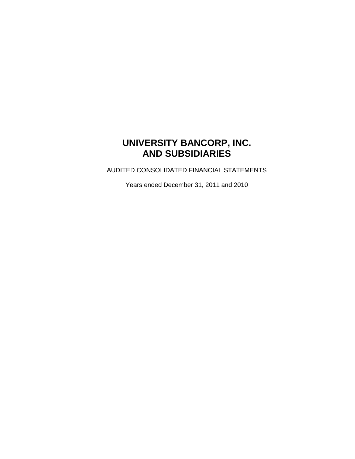# **UNIVERSITY BANCORP, INC. AND SUBSIDIARIES**

AUDITED CONSOLIDATED FINANCIAL STATEMENTS

Years ended December 31, 2011 and 2010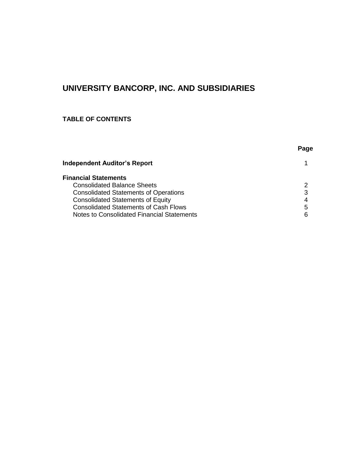# **UNIVERSITY BANCORP, INC. AND SUBSIDIARIES**

# **TABLE OF CONTENTS**

|                                              | Page |
|----------------------------------------------|------|
| <b>Independent Auditor's Report</b>          |      |
| <b>Financial Statements</b>                  |      |
| <b>Consolidated Balance Sheets</b>           | 2    |
| <b>Consolidated Statements of Operations</b> | 3    |
| <b>Consolidated Statements of Equity</b>     | 4    |
| <b>Consolidated Statements of Cash Flows</b> | 5    |
| Notes to Consolidated Financial Statements   | 6    |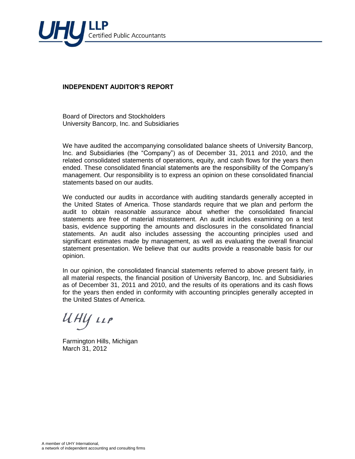

### **INDEPENDENT AUDITOR'S REPORT**

Board of Directors and Stockholders University Bancorp, Inc. and Subsidiaries

We have audited the accompanying consolidated balance sheets of University Bancorp, Inc. and Subsidiaries (the "Company") as of December 31, 2011 and 2010, and the related consolidated statements of operations, equity, and cash flows for the years then ended. These consolidated financial statements are the responsibility of the Company's management. Our responsibility is to express an opinion on these consolidated financial statements based on our audits.

We conducted our audits in accordance with auditing standards generally accepted in the United States of America. Those standards require that we plan and perform the audit to obtain reasonable assurance about whether the consolidated financial statements are free of material misstatement. An audit includes examining on a test basis, evidence supporting the amounts and disclosures in the consolidated financial statements. An audit also includes assessing the accounting principles used and significant estimates made by management, as well as evaluating the overall financial statement presentation. We believe that our audits provide a reasonable basis for our opinion.

In our opinion, the consolidated financial statements referred to above present fairly, in all material respects, the financial position of University Bancorp, Inc. and Subsidiaries as of December 31, 2011 and 2010, and the results of its operations and its cash flows for the years then ended in conformity with accounting principles generally accepted in the United States of America.

UHY LLP

Farmington Hills, Michigan March 31, 2012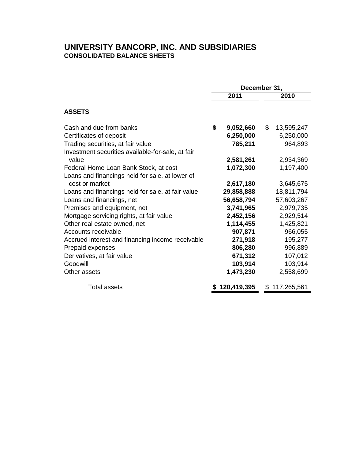# **UNIVERSITY BANCORP, INC. AND SUBSIDIARIES CONSOLIDATED BALANCE SHEETS**

|                                                   | December 31, |             |    |               |  |
|---------------------------------------------------|--------------|-------------|----|---------------|--|
|                                                   |              | 2011        |    | 2010          |  |
| <b>ASSETS</b>                                     |              |             |    |               |  |
| Cash and due from banks                           | \$           | 9,052,660   | \$ | 13,595,247    |  |
| Certificates of deposit                           |              | 6,250,000   |    | 6,250,000     |  |
| Trading securities, at fair value                 |              | 785,211     |    | 964,893       |  |
| Investment securities available-for-sale, at fair |              |             |    |               |  |
| value                                             |              | 2,581,261   |    | 2,934,369     |  |
| Federal Home Loan Bank Stock, at cost             |              | 1,072,300   |    | 1,197,400     |  |
| Loans and financings held for sale, at lower of   |              |             |    |               |  |
| cost or market                                    |              | 2,617,180   |    | 3,645,675     |  |
| Loans and financings held for sale, at fair value |              | 29,858,888  |    | 18,811,794    |  |
| Loans and financings, net                         |              | 56,658,794  |    | 57,603,267    |  |
| Premises and equipment, net                       |              | 3,741,965   |    | 2,979,735     |  |
| Mortgage servicing rights, at fair value          |              | 2,452,156   |    | 2,929,514     |  |
| Other real estate owned, net                      |              | 1,114,455   |    | 1,425,821     |  |
| Accounts receivable                               |              | 907,871     |    | 966,055       |  |
| Accrued interest and financing income receivable  |              | 271,918     |    | 195,277       |  |
| Prepaid expenses                                  |              | 806,280     |    | 996,889       |  |
| Derivatives, at fair value                        |              | 671,312     |    | 107,012       |  |
| Goodwill                                          |              | 103,914     |    | 103,914       |  |
| Other assets                                      |              | 1,473,230   |    | 2,558,699     |  |
| <b>Total assets</b>                               |              | 120,419,395 |    | \$117,265,561 |  |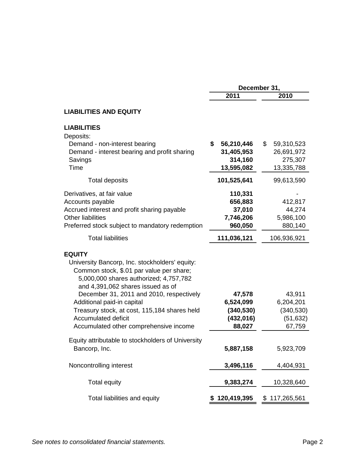|                                                                                                                                                                                                                                                                                                                                                    | December 31,                                         |                                                |  |  |
|----------------------------------------------------------------------------------------------------------------------------------------------------------------------------------------------------------------------------------------------------------------------------------------------------------------------------------------------------|------------------------------------------------------|------------------------------------------------|--|--|
|                                                                                                                                                                                                                                                                                                                                                    | 2011                                                 | 2010                                           |  |  |
| <b>LIABILITIES AND EQUITY</b>                                                                                                                                                                                                                                                                                                                      |                                                      |                                                |  |  |
| <b>LIABILITIES</b><br>Deposits:<br>Demand - non-interest bearing<br>Demand - interest bearing and profit sharing                                                                                                                                                                                                                                   | \$<br>56,210,446<br>31,405,953                       | \$<br>59,310,523<br>26,691,972                 |  |  |
| Savings<br>Time                                                                                                                                                                                                                                                                                                                                    | 314,160<br>13,595,082                                | 275,307<br>13,335,788                          |  |  |
| <b>Total deposits</b>                                                                                                                                                                                                                                                                                                                              | 101,525,641                                          | 99,613,590                                     |  |  |
| Derivatives, at fair value<br>Accounts payable<br>Accrued interest and profit sharing payable<br><b>Other liabilities</b><br>Preferred stock subject to mandatory redemption                                                                                                                                                                       | 110,331<br>656,883<br>37,010<br>7,746,206<br>960,050 | 412,817<br>44,274<br>5,986,100<br>880,140      |  |  |
| <b>Total liabilities</b>                                                                                                                                                                                                                                                                                                                           | 111,036,121                                          | 106,936,921                                    |  |  |
| <b>EQUITY</b><br>University Bancorp, Inc. stockholders' equity:<br>Common stock, \$.01 par value per share;<br>5,000,000 shares authorized; 4,757,782<br>and 4,391,062 shares issued as of<br>December 31, 2011 and 2010, respectively<br>Additional paid-in capital<br>Treasury stock, at cost, 115,184 shares held<br><b>Accumulated deficit</b> | 47,578<br>6,524,099<br>(340, 530)<br>(432, 016)      | 43,911<br>6,204,201<br>(340, 530)<br>(51, 632) |  |  |
| Accumulated other comprehensive income                                                                                                                                                                                                                                                                                                             | 88,027                                               | 67,759                                         |  |  |
| Equity attributable to stockholders of University<br>Bancorp, Inc.                                                                                                                                                                                                                                                                                 | 5,887,158                                            | 5,923,709                                      |  |  |
| Noncontrolling interest                                                                                                                                                                                                                                                                                                                            | 3,496,116                                            | 4,404,931                                      |  |  |
| <b>Total equity</b>                                                                                                                                                                                                                                                                                                                                | 9,383,274                                            | 10,328,640                                     |  |  |
| Total liabilities and equity                                                                                                                                                                                                                                                                                                                       | 120,419,395<br>\$                                    | \$117,265,561                                  |  |  |

# See notes to consolidated financial statements.<br> **See notes to consolidated financial statements.**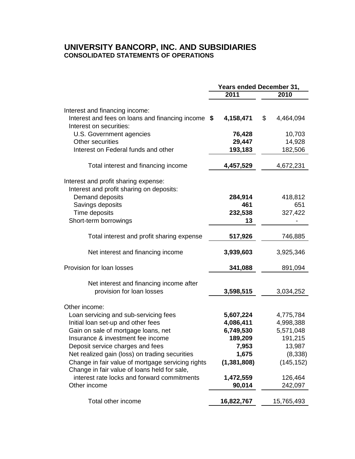# **UNIVERSITY BANCORP, INC. AND SUBSIDIARIES CONSOLIDATED STATEMENTS OF OPERATIONS**

| <b>Years ended December 31,</b> |                                                                                                                         |  |  |
|---------------------------------|-------------------------------------------------------------------------------------------------------------------------|--|--|
| 2011                            | 2010                                                                                                                    |  |  |
|                                 |                                                                                                                         |  |  |
|                                 | \$<br>4,464,094                                                                                                         |  |  |
| 76,428                          | 10,703                                                                                                                  |  |  |
|                                 | 14,928                                                                                                                  |  |  |
|                                 | 182,506                                                                                                                 |  |  |
| 4,457,529                       | 4,672,231                                                                                                               |  |  |
|                                 |                                                                                                                         |  |  |
|                                 |                                                                                                                         |  |  |
|                                 | 418,812<br>651                                                                                                          |  |  |
|                                 | 327,422                                                                                                                 |  |  |
|                                 |                                                                                                                         |  |  |
|                                 |                                                                                                                         |  |  |
| 517,926                         | 746,885                                                                                                                 |  |  |
| 3,939,603                       | 3,925,346                                                                                                               |  |  |
| 341,088                         | 891,094                                                                                                                 |  |  |
|                                 |                                                                                                                         |  |  |
| 3,598,515                       | 3,034,252                                                                                                               |  |  |
|                                 |                                                                                                                         |  |  |
| 5,607,224                       | 4,775,784                                                                                                               |  |  |
| 4,086,411                       | 4,998,388                                                                                                               |  |  |
| 6,749,530                       | 5,571,048                                                                                                               |  |  |
| 189,209                         | 191,215                                                                                                                 |  |  |
| 7,953                           | 13,987                                                                                                                  |  |  |
| 1,675                           | (8,338)                                                                                                                 |  |  |
| (1, 381, 808)                   | (145, 152)                                                                                                              |  |  |
|                                 |                                                                                                                         |  |  |
| 1,472,559                       | 126,464                                                                                                                 |  |  |
| 90,014                          | 242,097                                                                                                                 |  |  |
| 16,822,767                      | 15,765,493                                                                                                              |  |  |
|                                 | Interest and fees on loans and financing income \$<br>4,158,471<br>29,447<br>193,183<br>284,914<br>461<br>232,538<br>13 |  |  |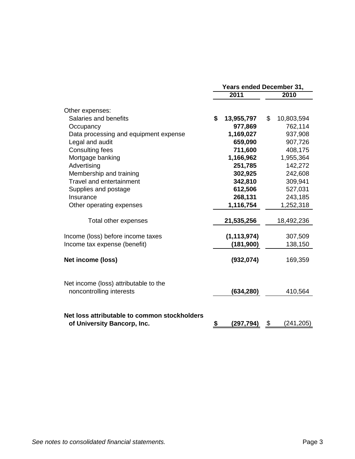|                                                                             | <b>Years ended December 31,</b> |                  |    |                    |  |
|-----------------------------------------------------------------------------|---------------------------------|------------------|----|--------------------|--|
|                                                                             |                                 | 2011             |    | 2010               |  |
| Other expenses:                                                             |                                 |                  |    |                    |  |
| Salaries and benefits                                                       | \$                              | 13,955,797       | \$ | 10,803,594         |  |
| Occupancy                                                                   |                                 | 977,869          |    | 762,114            |  |
| Data processing and equipment expense                                       |                                 | 1,169,027        |    | 937,908            |  |
| Legal and audit                                                             |                                 | 659,090          |    | 907,726            |  |
| <b>Consulting fees</b>                                                      |                                 | 711,600          |    | 408,175            |  |
| Mortgage banking                                                            |                                 | 1,166,962        |    | 1,955,364          |  |
| Advertising                                                                 |                                 | 251,785          |    | 142,272            |  |
| Membership and training                                                     |                                 | 302,925          |    | 242,608            |  |
| <b>Travel and entertainment</b>                                             |                                 | 342,810          |    | 309,941            |  |
| Supplies and postage                                                        |                                 | 612,506          |    | 527,031            |  |
| Insurance                                                                   |                                 | 268,131          |    | 243,185            |  |
| Other operating expenses                                                    |                                 | 1,116,754        |    | 1,252,318          |  |
| Total other expenses                                                        |                                 | 21,535,256       |    | 18,492,236         |  |
| Income (loss) before income taxes                                           |                                 | (1, 113, 974)    |    | 307,509            |  |
| Income tax expense (benefit)                                                |                                 | (181, 900)       |    | 138,150            |  |
| Net income (loss)                                                           |                                 | (932,074)        |    | 169,359            |  |
| Net income (loss) attributable to the<br>noncontrolling interests           |                                 | (634, 280)       |    | 410,564            |  |
| Net loss attributable to common stockholders<br>of University Bancorp, Inc. |                                 | <u>(297,794)</u> | \$ | (2 <u>41,205</u> ) |  |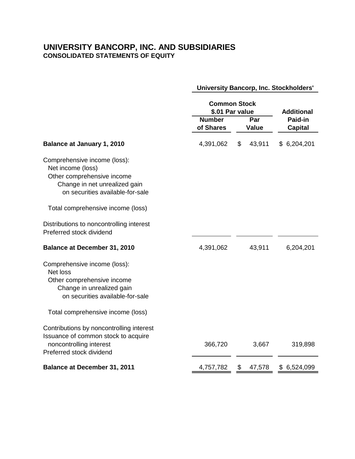# **UNIVERSITY BANCORP, INC. AND SUBSIDIARIES CONSOLIDATED STATEMENTS OF EQUITY**

|                                                                                                                                                                                           |                            | <b>Common Stock</b><br>\$.01 Par value |                     |                                                |  |
|-------------------------------------------------------------------------------------------------------------------------------------------------------------------------------------------|----------------------------|----------------------------------------|---------------------|------------------------------------------------|--|
|                                                                                                                                                                                           | <b>Number</b><br>of Shares |                                        | Par<br><b>Value</b> | <b>Additional</b><br>Paid-in<br><b>Capital</b> |  |
| <b>Balance at January 1, 2010</b>                                                                                                                                                         | 4,391,062                  | \$                                     | 43,911              | \$6,204,201                                    |  |
| Comprehensive income (loss):<br>Net income (loss)<br>Other comprehensive income<br>Change in net unrealized gain<br>on securities available-for-sale<br>Total comprehensive income (loss) |                            |                                        |                     |                                                |  |
| Distributions to noncontrolling interest<br>Preferred stock dividend                                                                                                                      |                            |                                        |                     |                                                |  |
| <b>Balance at December 31, 2010</b>                                                                                                                                                       | 4,391,062                  |                                        | 43,911              | 6,204,201                                      |  |
| Comprehensive income (loss):<br><b>Net loss</b><br>Other comprehensive income<br>Change in unrealized gain<br>on securities available-for-sale                                            |                            |                                        |                     |                                                |  |
| Total comprehensive income (loss)                                                                                                                                                         |                            |                                        |                     |                                                |  |
| Contributions by noncontrolling interest<br>Issuance of common stock to acquire<br>noncontrolling interest<br>Preferred stock dividend                                                    | 366,720                    |                                        | 3,667               | 319,898                                        |  |
| <b>Balance at December 31, 2011</b>                                                                                                                                                       | 4,757,782                  | \$                                     | 47,578              | \$6,524,099                                    |  |

**University Bancorp, Inc. Stockholders'**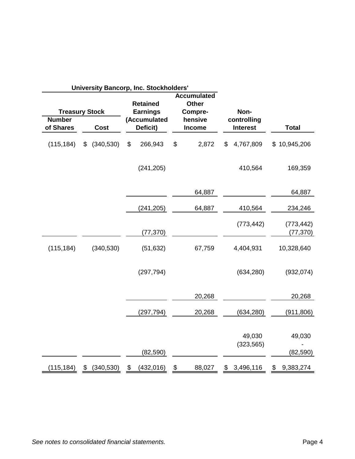|                                                     |                  | <b>University Bancorp, Inc. Stockholders'</b>                  |                                                                    |                                        |                     |
|-----------------------------------------------------|------------------|----------------------------------------------------------------|--------------------------------------------------------------------|----------------------------------------|---------------------|
| <b>Treasury Stock</b><br><b>Number</b><br>of Shares | <b>Cost</b>      | <b>Retained</b><br><b>Earnings</b><br>(Accumulated<br>Deficit) | <b>Accumulated</b><br><b>Other</b><br>Compre-<br>hensive<br>Income | Non-<br>controlling<br><b>Interest</b> | <b>Total</b>        |
|                                                     |                  |                                                                |                                                                    |                                        |                     |
| (115, 184)                                          | \$<br>(340, 530) | \$<br>266,943                                                  | \$<br>2,872                                                        | \$<br>4,767,809                        | \$10,945,206        |
|                                                     |                  | (241, 205)                                                     |                                                                    | 410,564                                | 169,359             |
|                                                     |                  |                                                                | 64,887                                                             |                                        | 64,887              |
|                                                     |                  | (241, 205)                                                     | 64,887                                                             | 410,564                                | 234,246             |
|                                                     |                  |                                                                |                                                                    | (773, 442)                             | (773, 442)          |
|                                                     |                  | (77, 370)                                                      |                                                                    |                                        | (77, 370)           |
| (115, 184)                                          | (340, 530)       | (51, 632)                                                      | 67,759                                                             | 4,404,931                              | 10,328,640          |
|                                                     |                  | (297, 794)                                                     |                                                                    | (634, 280)                             | (932, 074)          |
|                                                     |                  |                                                                | 20,268                                                             |                                        | 20,268              |
|                                                     |                  | (297, 794)                                                     | 20,268                                                             | (634, 280)                             | (911, 806)          |
|                                                     |                  | (82, 590)                                                      |                                                                    | 49,030<br>(323, 565)                   | 49,030<br>(82, 590) |
| (115,184)                                           | \$<br>(340, 530) | \$<br>(432, 016)                                               | \$<br>88,027                                                       | \$3,496,116                            | \$<br>9,383,274     |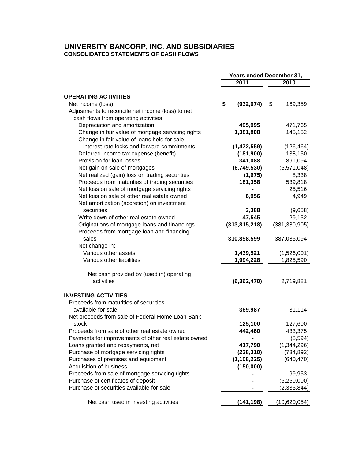### **UNIVERSITY BANCORP, INC. AND SUBSIDIARIES CONSOLIDATED STATEMENTS OF CASH FLOWS**

|                                                      | Years ended December 31, |                 |    |                 |
|------------------------------------------------------|--------------------------|-----------------|----|-----------------|
|                                                      |                          | 2011            |    | 2010            |
| <b>OPERATING ACTIVITIES</b>                          |                          |                 |    |                 |
| Net income (loss)                                    | \$                       | (932, 074)      | \$ | 169,359         |
| Adjustments to reconcile net income (loss) to net    |                          |                 |    |                 |
| cash flows from operating activities:                |                          |                 |    |                 |
| Depreciation and amortization                        |                          | 495,995         |    | 471,765         |
| Change in fair value of mortgage servicing rights    |                          | 1,381,808       |    | 145,152         |
| Change in fair value of loans held for sale,         |                          |                 |    |                 |
| interest rate locks and forward commitments          |                          | (1,472,559)     |    | (126, 464)      |
| Deferred income tax expense (benefit)                |                          | (181,900)       |    | 138,150         |
| Provision for loan losses                            |                          | 341,088         |    | 891,094         |
| Net gain on sale of mortgages                        |                          | (6,749,530)     |    | (5,571,048)     |
| Net realized (gain) loss on trading securities       |                          | (1,675)         |    | 8,338           |
| Proceeds from maturities of trading securities       |                          | 181,358         |    | 539,818         |
| Net loss on sale of mortgage servicing rights        |                          |                 |    | 25,516          |
| Net loss on sale of other real estate owned          |                          | 6,956           |    | 4,949           |
| Net amortization (accretion) on investment           |                          |                 |    |                 |
| securities                                           |                          | 3,388           |    | (9,658)         |
| Write down of other real estate owned                |                          | 47,545          |    | 29,132          |
| Originations of mortgage loans and financings        |                          | (313, 815, 218) |    | (381, 380, 905) |
| Proceeds from mortgage loan and financing            |                          |                 |    |                 |
| sales                                                |                          | 310,898,599     |    | 387,085,094     |
| Net change in:                                       |                          |                 |    |                 |
| Various other assets                                 |                          | 1,439,521       |    | (1,526,001)     |
| Various other liabilities                            |                          | 1,994,228       |    | 1,825,590       |
|                                                      |                          |                 |    |                 |
| Net cash provided by (used in) operating             |                          |                 |    |                 |
| activities                                           |                          | (6, 362, 470)   |    | 2,719,881       |
| <b>INVESTING ACTIVITIES</b>                          |                          |                 |    |                 |
| Proceeds from maturities of securities               |                          |                 |    |                 |
| available-for-sale                                   |                          | 369,987         |    | 31,114          |
| Net proceeds from sale of Federal Home Loan Bank     |                          |                 |    |                 |
| stock                                                |                          | 125,100         |    | 127,600         |
| Proceeds from sale of other real estate owned        |                          | 442,460         |    | 433,375         |
| Payments for improvements of other real estate owned |                          |                 |    | (8,594)         |
| Loans granted and repayments, net                    |                          | 417,790         |    | (1,344,296)     |
| Purchase of mortgage servicing rights                |                          | (238, 310)      |    | (734, 892)      |
| Purchases of premises and equipment                  |                          | (1, 108, 225)   |    | (640, 470)      |
| Acquisition of business                              |                          | (150,000)       |    |                 |
| Proceeds from sale of mortgage servicing rights      |                          |                 |    | 99,953          |
| Purchase of certificates of deposit                  |                          |                 |    | (6, 250, 000)   |
| Purchase of securities available-for-sale            |                          |                 |    | (2, 333, 844)   |
| Net cash used in investing activities                |                          | (141, 198)      |    | (10,620,054)    |
|                                                      |                          |                 |    |                 |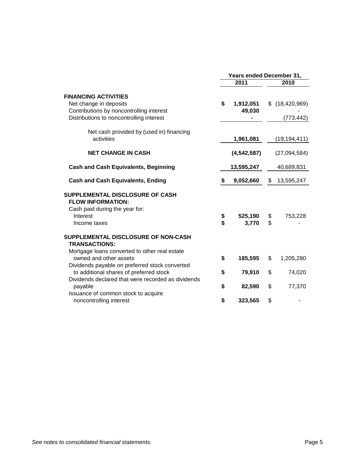|                                                                                                                                                 | Years ended December 31, |                  |          |                  |  |  |
|-------------------------------------------------------------------------------------------------------------------------------------------------|--------------------------|------------------|----------|------------------|--|--|
|                                                                                                                                                 |                          | 2011             |          | 2010             |  |  |
| <b>FINANCING ACTIVITIES</b><br>Net change in deposits                                                                                           | \$                       | 1,912,051        |          | $$$ (18,420,969) |  |  |
| Contributions by noncontrolling interest<br>Distributions to noncontrolling interest                                                            |                          | 49,030           |          | (773, 442)       |  |  |
| Net cash provided by (used in) financing<br>activities                                                                                          |                          | 1,961,081        |          | (19, 194, 411)   |  |  |
| <b>NET CHANGE IN CASH</b>                                                                                                                       |                          | (4, 542, 587)    |          | (27,094,584)     |  |  |
| <b>Cash and Cash Equivalents, Beginning</b>                                                                                                     |                          | 13,595,247       |          | 40,689,831       |  |  |
| <b>Cash and Cash Equivalents, Ending</b>                                                                                                        |                          | 9,052,660        | \$       | 13,595,247       |  |  |
| SUPPLEMENTAL DISCLOSURE OF CASH<br><b>FLOW INFORMATION:</b><br>Cash paid during the year for:<br>Interest                                       |                          |                  |          |                  |  |  |
| Income taxes                                                                                                                                    | \$<br>\$                 | 525,190<br>3,770 | \$<br>\$ | 753,228          |  |  |
| SUPPLEMENTAL DISCLOSURE OF NON-CASH<br><b>TRANSACTIONS:</b>                                                                                     |                          |                  |          |                  |  |  |
| Mortgage loans converted to other real estate<br>owned and other assets                                                                         | \$                       | 185,595          | \$       | 1,205,280        |  |  |
| Dividends payable on preferred stock converted<br>to additional shares of preferred stock<br>Dividends declared that were recorded as dividends | \$                       | 79,910           | \$       | 74,020           |  |  |
| payable                                                                                                                                         | \$                       | 82,590           | \$       | 77,370           |  |  |
| Issuance of common stock to acquire<br>noncontrolling interest                                                                                  | \$                       | 323,565          | \$       |                  |  |  |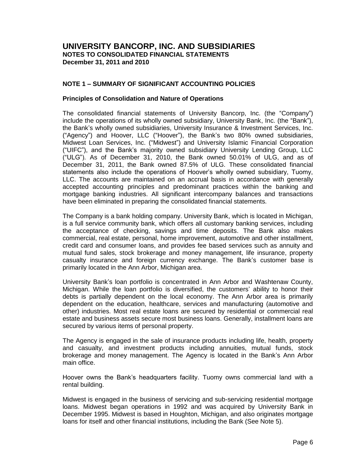### **NOTE 1 – SUMMARY OF SIGNIFICANT ACCOUNTING POLICIES**

#### **Principles of Consolidation and Nature of Operations**

The consolidated financial statements of University Bancorp, Inc. (the "Company") include the operations of its wholly owned subsidiary, University Bank, Inc. (the "Bank"), the Bank's wholly owned subsidiaries, University Insurance & Investment Services, Inc. ("Agency") and Hoover, LLC ("Hoover"), the Bank's two 80% owned subsidiaries, Midwest Loan Services, Inc. ("Midwest") and University Islamic Financial Corporation ("UIFC"), and the Bank's majority owned subsidiary University Lending Group, LLC ("ULG"). As of December 31, 2010, the Bank owned 50.01% of ULG, and as of December 31, 2011, the Bank owned 87.5% of ULG. These consolidated financial statements also include the operations of Hoover's wholly owned subsidiary, Tuomy, LLC. The accounts are maintained on an accrual basis in accordance with generally accepted accounting principles and predominant practices within the banking and mortgage banking industries. All significant intercompany balances and transactions have been eliminated in preparing the consolidated financial statements.

The Company is a bank holding company. University Bank, which is located in Michigan, is a full service community bank, which offers all customary banking services, including the acceptance of checking, savings and time deposits. The Bank also makes commercial, real estate, personal, home improvement, automotive and other installment, credit card and consumer loans, and provides fee based services such as annuity and mutual fund sales, stock brokerage and money management, life insurance, property casualty insurance and foreign currency exchange. The Bank's customer base is primarily located in the Ann Arbor, Michigan area.

University Bank's loan portfolio is concentrated in Ann Arbor and Washtenaw County, Michigan. While the loan portfolio is diversified, the customers' ability to honor their debts is partially dependent on the local economy. The Ann Arbor area is primarily dependent on the education, healthcare, services and manufacturing (automotive and other) industries. Most real estate loans are secured by residential or commercial real estate and business assets secure most business loans. Generally, installment loans are secured by various items of personal property.

The Agency is engaged in the sale of insurance products including life, health, property and casualty, and investment products including annuities, mutual funds, stock brokerage and money management. The Agency is located in the Bank's Ann Arbor main office.

Hoover owns the Bank's headquarters facility. Tuomy owns commercial land with a rental building.

Midwest is engaged in the business of servicing and sub-servicing residential mortgage loans. Midwest began operations in 1992 and was acquired by University Bank in December 1995. Midwest is based in Houghton, Michigan, and also originates mortgage loans for itself and other financial institutions, including the Bank (See Note 5).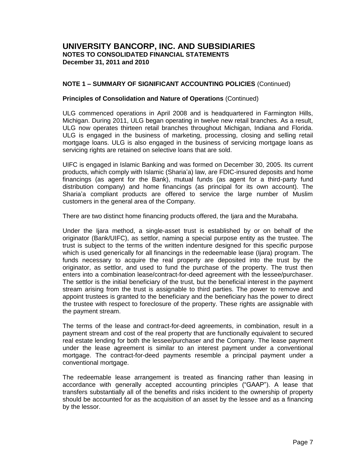### **NOTE 1 – SUMMARY OF SIGNIFICANT ACCOUNTING POLICIES** (Continued)

#### **Principles of Consolidation and Nature of Operations** (Continued)

ULG commenced operations in April 2008 and is headquartered in Farmington Hills, Michigan. During 2011, ULG began operating in twelve new retail branches. As a result, ULG now operates thirteen retail branches throughout Michigan, Indiana and Florida. ULG is engaged in the business of marketing, processing, closing and selling retail mortgage loans. ULG is also engaged in the business of servicing mortgage loans as servicing rights are retained on selective loans that are sold.

UIFC is engaged in Islamic Banking and was formed on December 30, 2005. Its current products, which comply with Islamic (Sharia'a) law, are FDIC-insured deposits and home financings (as agent for the Bank), mutual funds (as agent for a third-party fund distribution company) and home financings (as principal for its own account). The Sharia'a compliant products are offered to service the large number of Muslim customers in the general area of the Company.

There are two distinct home financing products offered, the Ijara and the Murabaha.

Under the Ijara method, a single-asset trust is established by or on behalf of the originator (Bank/UIFC), as settlor, naming a special purpose entity as the trustee. The trust is subject to the terms of the written indenture designed for this specific purpose which is used generically for all financings in the redeemable lease (Ijara) program. The funds necessary to acquire the real property are deposited into the trust by the originator, as settlor, and used to fund the purchase of the property. The trust then enters into a combination lease/contract-for-deed agreement with the lessee/purchaser. The settlor is the initial beneficiary of the trust, but the beneficial interest in the payment stream arising from the trust is assignable to third parties. The power to remove and appoint trustees is granted to the beneficiary and the beneficiary has the power to direct the trustee with respect to foreclosure of the property. These rights are assignable with the payment stream.

The terms of the lease and contract-for-deed agreements, in combination, result in a payment stream and cost of the real property that are functionally equivalent to secured real estate lending for both the lessee/purchaser and the Company. The lease payment under the lease agreement is similar to an interest payment under a conventional mortgage. The contract-for-deed payments resemble a principal payment under a conventional mortgage.

The redeemable lease arrangement is treated as financing rather than leasing in accordance with generally accepted accounting principles ("GAAP"). A lease that transfers substantially all of the benefits and risks incident to the ownership of property should be accounted for as the acquisition of an asset by the lessee and as a financing by the lessor.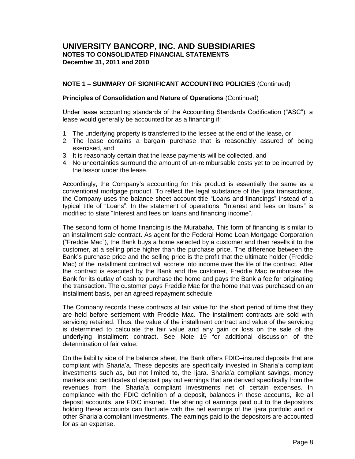### **NOTE 1 – SUMMARY OF SIGNIFICANT ACCOUNTING POLICIES** (Continued)

#### **Principles of Consolidation and Nature of Operations** (Continued)

Under lease accounting standards of the Accounting Standards Codification ("ASC"), a lease would generally be accounted for as a financing if:

- 1. The underlying property is transferred to the lessee at the end of the lease, or
- 2. The lease contains a bargain purchase that is reasonably assured of being exercised, and
- 3. It is reasonably certain that the lease payments will be collected, and
- 4. No uncertainties surround the amount of un-reimbursable costs yet to be incurred by the lessor under the lease.

Accordingly, the Company's accounting for this product is essentially the same as a conventional mortgage product. To reflect the legal substance of the Ijara transactions, the Company uses the balance sheet account title "Loans and financings" instead of a typical title of "Loans". In the statement of operations, "Interest and fees on loans" is modified to state "Interest and fees on loans and financing income".

The second form of home financing is the Murabaha. This form of financing is similar to an installment sale contract. As agent for the Federal Home Loan Mortgage Corporation ("Freddie Mac"), the Bank buys a home selected by a customer and then resells it to the customer, at a selling price higher than the purchase price. The difference between the Bank's purchase price and the selling price is the profit that the ultimate holder (Freddie Mac) of the installment contract will accrete into income over the life of the contract. After the contract is executed by the Bank and the customer, Freddie Mac reimburses the Bank for its outlay of cash to purchase the home and pays the Bank a fee for originating the transaction. The customer pays Freddie Mac for the home that was purchased on an installment basis, per an agreed repayment schedule.

The Company records these contracts at fair value for the short period of time that they are held before settlement with Freddie Mac. The installment contracts are sold with servicing retained. Thus, the value of the installment contract and value of the servicing is determined to calculate the fair value and any gain or loss on the sale of the underlying installment contract. See Note 19 for additional discussion of the determination of fair value.

On the liability side of the balance sheet, the Bank offers FDIC–insured deposits that are compliant with Sharia'a. These deposits are specifically invested in Sharia'a compliant investments such as, but not limited to, the Ijara. Sharia'a compliant savings, money markets and certificates of deposit pay out earnings that are derived specifically from the revenues from the Sharia'a compliant investments net of certain expenses. In compliance with the FDIC definition of a deposit, balances in these accounts, like all deposit accounts, are FDIC insured. The sharing of earnings paid out to the depositors holding these accounts can fluctuate with the net earnings of the Ijara portfolio and or other Sharia'a compliant investments. The earnings paid to the depositors are accounted for as an expense.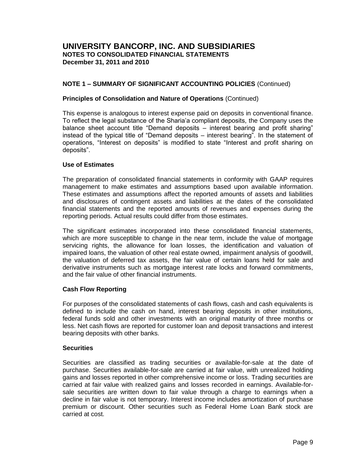### **NOTE 1 – SUMMARY OF SIGNIFICANT ACCOUNTING POLICIES** (Continued)

#### **Principles of Consolidation and Nature of Operations** (Continued)

This expense is analogous to interest expense paid on deposits in conventional finance. To reflect the legal substance of the Sharia'a compliant deposits, the Company uses the balance sheet account title "Demand deposits – interest bearing and profit sharing" instead of the typical title of "Demand deposits – interest bearing". In the statement of operations, "Interest on deposits" is modified to state "Interest and profit sharing on deposits".

#### **Use of Estimates**

The preparation of consolidated financial statements in conformity with GAAP requires management to make estimates and assumptions based upon available information. These estimates and assumptions affect the reported amounts of assets and liabilities and disclosures of contingent assets and liabilities at the dates of the consolidated financial statements and the reported amounts of revenues and expenses during the reporting periods. Actual results could differ from those estimates.

The significant estimates incorporated into these consolidated financial statements, which are more susceptible to change in the near term, include the value of mortgage servicing rights, the allowance for loan losses, the identification and valuation of impaired loans, the valuation of other real estate owned, impairment analysis of goodwill, the valuation of deferred tax assets, the fair value of certain loans held for sale and derivative instruments such as mortgage interest rate locks and forward commitments, and the fair value of other financial instruments.

### **Cash Flow Reporting**

For purposes of the consolidated statements of cash flows, cash and cash equivalents is defined to include the cash on hand, interest bearing deposits in other institutions, federal funds sold and other investments with an original maturity of three months or less. Net cash flows are reported for customer loan and deposit transactions and interest bearing deposits with other banks.

#### **Securities**

Securities are classified as trading securities or available-for-sale at the date of purchase. Securities available-for-sale are carried at fair value, with unrealized holding gains and losses reported in other comprehensive income or loss. Trading securities are carried at fair value with realized gains and losses recorded in earnings. Available-forsale securities are written down to fair value through a charge to earnings when a decline in fair value is not temporary. Interest income includes amortization of purchase premium or discount. Other securities such as Federal Home Loan Bank stock are carried at cost.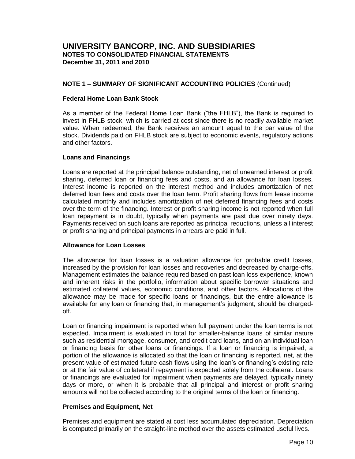### **NOTE 1 – SUMMARY OF SIGNIFICANT ACCOUNTING POLICIES** (Continued)

#### **Federal Home Loan Bank Stock**

As a member of the Federal Home Loan Bank ("the FHLB"), the Bank is required to invest in FHLB stock, which is carried at cost since there is no readily available market value. When redeemed, the Bank receives an amount equal to the par value of the stock. Dividends paid on FHLB stock are subject to economic events, regulatory actions and other factors.

### **Loans and Financings**

Loans are reported at the principal balance outstanding, net of unearned interest or profit sharing, deferred loan or financing fees and costs, and an allowance for loan losses. Interest income is reported on the interest method and includes amortization of net deferred loan fees and costs over the loan term. Profit sharing flows from lease income calculated monthly and includes amortization of net deferred financing fees and costs over the term of the financing. Interest or profit sharing income is not reported when full loan repayment is in doubt, typically when payments are past due over ninety days. Payments received on such loans are reported as principal reductions, unless all interest or profit sharing and principal payments in arrears are paid in full.

### **Allowance for Loan Losses**

The allowance for loan losses is a valuation allowance for probable credit losses, increased by the provision for loan losses and recoveries and decreased by charge-offs. Management estimates the balance required based on past loan loss experience, known and inherent risks in the portfolio, information about specific borrower situations and estimated collateral values, economic conditions, and other factors. Allocations of the allowance may be made for specific loans or financings, but the entire allowance is available for any loan or financing that, in management's judgment, should be chargedoff.

Loan or financing impairment is reported when full payment under the loan terms is not expected. Impairment is evaluated in total for smaller-balance loans of similar nature such as residential mortgage, consumer, and credit card loans, and on an individual loan or financing basis for other loans or financings. If a loan or financing is impaired, a portion of the allowance is allocated so that the loan or financing is reported, net, at the present value of estimated future cash flows using the loan's or financing's existing rate or at the fair value of collateral if repayment is expected solely from the collateral. Loans or financings are evaluated for impairment when payments are delayed, typically ninety days or more, or when it is probable that all principal and interest or profit sharing amounts will not be collected according to the original terms of the loan or financing.

### **Premises and Equipment, Net**

Premises and equipment are stated at cost less accumulated depreciation. Depreciation is computed primarily on the straight-line method over the assets estimated useful lives.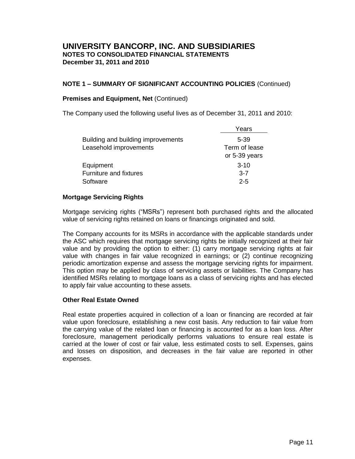### **NOTE 1 – SUMMARY OF SIGNIFICANT ACCOUNTING POLICIES** (Continued)

### **Premises and Equipment, Net** (Continued)

The Company used the following useful lives as of December 31, 2011 and 2010:

|                                    | Years         |
|------------------------------------|---------------|
| Building and building improvements | 5-39          |
| Leasehold improvements             | Term of lease |
|                                    | or 5-39 years |
| Equipment                          | $3 - 10$      |
| Furniture and fixtures             | $3 - 7$       |
| Software                           | $2 - 5$       |
|                                    |               |

### **Mortgage Servicing Rights**

Mortgage servicing rights ("MSRs") represent both purchased rights and the allocated value of servicing rights retained on loans or financings originated and sold.

The Company accounts for its MSRs in accordance with the applicable standards under the ASC which requires that mortgage servicing rights be initially recognized at their fair value and by providing the option to either: (1) carry mortgage servicing rights at fair value with changes in fair value recognized in earnings; or (2) continue recognizing periodic amortization expense and assess the mortgage servicing rights for impairment. This option may be applied by class of servicing assets or liabilities. The Company has identified MSRs relating to mortgage loans as a class of servicing rights and has elected to apply fair value accounting to these assets.

### **Other Real Estate Owned**

Real estate properties acquired in collection of a loan or financing are recorded at fair value upon foreclosure, establishing a new cost basis. Any reduction to fair value from the carrying value of the related loan or financing is accounted for as a loan loss. After foreclosure, management periodically performs valuations to ensure real estate is carried at the lower of cost or fair value, less estimated costs to sell. Expenses, gains and losses on disposition, and decreases in the fair value are reported in other expenses.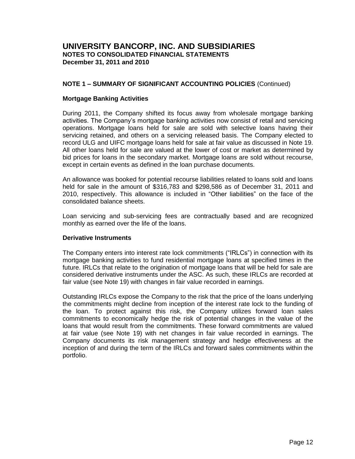### **NOTE 1 – SUMMARY OF SIGNIFICANT ACCOUNTING POLICIES** (Continued)

#### **Mortgage Banking Activities**

During 2011, the Company shifted its focus away from wholesale mortgage banking activities. The Company's mortgage banking activities now consist of retail and servicing operations. Mortgage loans held for sale are sold with selective loans having their servicing retained, and others on a servicing released basis. The Company elected to record ULG and UIFC mortgage loans held for sale at fair value as discussed in Note 19. All other loans held for sale are valued at the lower of cost or market as determined by bid prices for loans in the secondary market. Mortgage loans are sold without recourse, except in certain events as defined in the loan purchase documents.

An allowance was booked for potential recourse liabilities related to loans sold and loans held for sale in the amount of \$316,783 and \$298,586 as of December 31, 2011 and 2010, respectively. This allowance is included in "Other liabilities" on the face of the consolidated balance sheets.

Loan servicing and sub-servicing fees are contractually based and are recognized monthly as earned over the life of the loans.

### **Derivative Instruments**

The Company enters into interest rate lock commitments ("IRLCs") in connection with its mortgage banking activities to fund residential mortgage loans at specified times in the future. IRLCs that relate to the origination of mortgage loans that will be held for sale are considered derivative instruments under the ASC. As such, these IRLCs are recorded at fair value (see Note 19) with changes in fair value recorded in earnings.

Outstanding IRLCs expose the Company to the risk that the price of the loans underlying the commitments might decline from inception of the interest rate lock to the funding of the loan. To protect against this risk, the Company utilizes forward loan sales commitments to economically hedge the risk of potential changes in the value of the loans that would result from the commitments. These forward commitments are valued at fair value (see Note 19) with net changes in fair value recorded in earnings. The Company documents its risk management strategy and hedge effectiveness at the inception of and during the term of the IRLCs and forward sales commitments within the portfolio.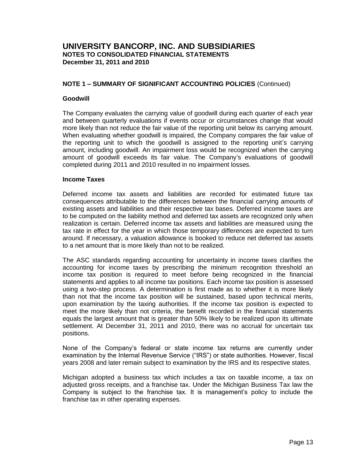### **NOTE 1 – SUMMARY OF SIGNIFICANT ACCOUNTING POLICIES** (Continued)

### **Goodwill**

The Company evaluates the carrying value of goodwill during each quarter of each year and between quarterly evaluations if events occur or circumstances change that would more likely than not reduce the fair value of the reporting unit below its carrying amount. When evaluating whether goodwill is impaired, the Company compares the fair value of the reporting unit to which the goodwill is assigned to the reporting unit's carrying amount, including goodwill. An impairment loss would be recognized when the carrying amount of goodwill exceeds its fair value. The Company's evaluations of goodwill completed during 2011 and 2010 resulted in no impairment losses.

#### **Income Taxes**

Deferred income tax assets and liabilities are recorded for estimated future tax consequences attributable to the differences between the financial carrying amounts of existing assets and liabilities and their respective tax bases. Deferred income taxes are to be computed on the liability method and deferred tax assets are recognized only when realization is certain. Deferred income tax assets and liabilities are measured using the tax rate in effect for the year in which those temporary differences are expected to turn around. If necessary, a valuation allowance is booked to reduce net deferred tax assets to a net amount that is more likely than not to be realized.

The ASC standards regarding accounting for uncertainty in income taxes clarifies the accounting for income taxes by prescribing the minimum recognition threshold an income tax position is required to meet before being recognized in the financial statements and applies to all income tax positions. Each income tax position is assessed using a two-step process. A determination is first made as to whether it is more likely than not that the income tax position will be sustained, based upon technical merits, upon examination by the taxing authorities. If the income tax position is expected to meet the more likely than not criteria, the benefit recorded in the financial statements equals the largest amount that is greater than 50% likely to be realized upon its ultimate settlement. At December 31, 2011 and 2010, there was no accrual for uncertain tax positions.

None of the Company's federal or state income tax returns are currently under examination by the Internal Revenue Service ("IRS") or state authorities. However, fiscal years 2008 and later remain subject to examination by the IRS and its respective states.

Michigan adopted a business tax which includes a tax on taxable income, a tax on adjusted gross receipts, and a franchise tax. Under the Michigan Business Tax law the Company is subject to the franchise tax. It is management's policy to include the franchise tax in other operating expenses.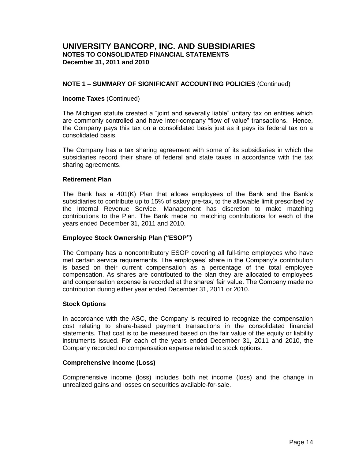### **NOTE 1 – SUMMARY OF SIGNIFICANT ACCOUNTING POLICIES** (Continued)

#### **Income Taxes** (Continued)

The Michigan statute created a "joint and severally liable" unitary tax on entities which are commonly controlled and have inter-company "flow of value" transactions. Hence, the Company pays this tax on a consolidated basis just as it pays its federal tax on a consolidated basis.

The Company has a tax sharing agreement with some of its subsidiaries in which the subsidiaries record their share of federal and state taxes in accordance with the tax sharing agreements.

#### **Retirement Plan**

The Bank has a 401(K) Plan that allows employees of the Bank and the Bank's subsidiaries to contribute up to 15% of salary pre-tax, to the allowable limit prescribed by the Internal Revenue Service. Management has discretion to make matching contributions to the Plan. The Bank made no matching contributions for each of the years ended December 31, 2011 and 2010.

### **Employee Stock Ownership Plan ("ESOP")**

The Company has a noncontributory ESOP covering all full-time employees who have met certain service requirements. The employees' share in the Company's contribution is based on their current compensation as a percentage of the total employee compensation. As shares are contributed to the plan they are allocated to employees and compensation expense is recorded at the shares' fair value. The Company made no contribution during either year ended December 31, 2011 or 2010.

#### **Stock Options**

In accordance with the ASC, the Company is required to recognize the compensation cost relating to share-based payment transactions in the consolidated financial statements. That cost is to be measured based on the fair value of the equity or liability instruments issued. For each of the years ended December 31, 2011 and 2010, the Company recorded no compensation expense related to stock options.

### **Comprehensive Income (Loss)**

Comprehensive income (loss) includes both net income (loss) and the change in unrealized gains and losses on securities available-for-sale.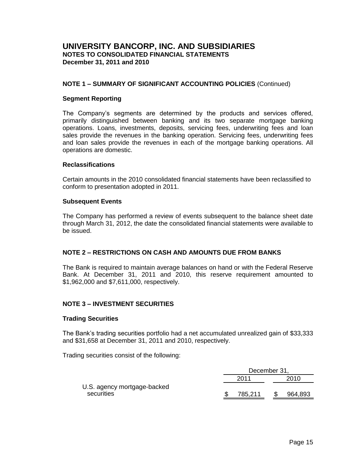### **NOTE 1 – SUMMARY OF SIGNIFICANT ACCOUNTING POLICIES** (Continued)

#### **Segment Reporting**

The Company's segments are determined by the products and services offered, primarily distinguished between banking and its two separate mortgage banking operations. Loans, investments, deposits, servicing fees, underwriting fees and loan sales provide the revenues in the banking operation. Servicing fees, underwriting fees and loan sales provide the revenues in each of the mortgage banking operations. All operations are domestic.

#### **Reclassifications**

Certain amounts in the 2010 consolidated financial statements have been reclassified to conform to presentation adopted in 2011.

#### **Subsequent Events**

The Company has performed a review of events subsequent to the balance sheet date through March 31, 2012, the date the consolidated financial statements were available to be issued.

### **NOTE 2 – RESTRICTIONS ON CASH AND AMOUNTS DUE FROM BANKS**

The Bank is required to maintain average balances on hand or with the Federal Reserve Bank. At December 31, 2011 and 2010, this reserve requirement amounted to \$1,962,000 and \$7,611,000, respectively.

### **NOTE 3 – INVESTMENT SECURITIES**

### **Trading Securities**

The Bank's trading securities portfolio had a net accumulated unrealized gain of \$33,333 and \$31,658 at December 31, 2011 and 2010, respectively.

Trading securities consist of the following:

|                             | December 31, |         |
|-----------------------------|--------------|---------|
|                             | 2011         | 2010    |
| U.S. agency mortgage-backed |              |         |
| securities                  | 785,211      | 964,893 |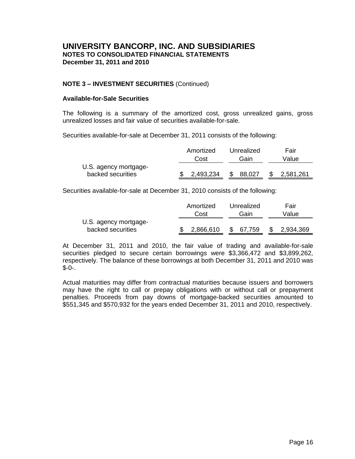### **NOTE 3 – INVESTMENT SECURITIES** (Continued)

#### **Available-for-Sale Securities**

The following is a summary of the amortized cost, gross unrealized gains, gross unrealized losses and fair value of securities available-for-sale.

Securities available-for-sale at December 31, 2011 consists of the following:

|                                            | Amortized | Unrealized | Fair      |
|--------------------------------------------|-----------|------------|-----------|
|                                            | Cost      | Gain       | Value     |
| U.S. agency mortgage-<br>backed securities | 2,493,234 | 88,027     | 2,581,261 |

Securities available-for-sale at December 31, 2010 consists of the following:

|                       | Amortized | Unrealized   | Fair      |
|-----------------------|-----------|--------------|-----------|
|                       | Cost      | Gain         | Value     |
| U.S. agency mortgage- |           |              |           |
| backed securities     | 2,866,610 | \$<br>67,759 | 2,934,369 |

At December 31, 2011 and 2010, the fair value of trading and available-for-sale securities pledged to secure certain borrowings were \$3,366,472 and \$3,899,262, respectively. The balance of these borrowings at both December 31, 2011 and 2010 was  $$-0-.$ 

Actual maturities may differ from contractual maturities because issuers and borrowers may have the right to call or prepay obligations with or without call or prepayment penalties. Proceeds from pay downs of mortgage-backed securities amounted to \$551,345 and \$570,932 for the years ended December 31, 2011 and 2010, respectively.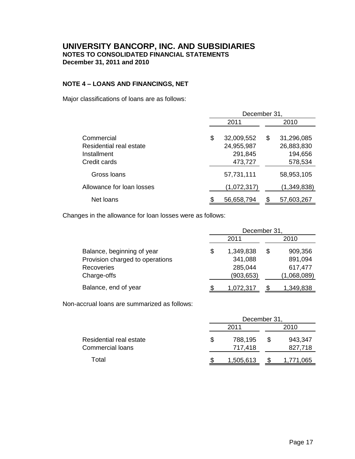### **NOTE 4 – LOANS AND FINANCINGS, NET**

Major classifications of loans are as follows:

|                                                                      | December 31,                                         |    |                                                |  |  |
|----------------------------------------------------------------------|------------------------------------------------------|----|------------------------------------------------|--|--|
|                                                                      | 2011                                                 |    | 2010                                           |  |  |
| Commercial<br>Residential real estate<br>Installment<br>Credit cards | \$<br>32,009,552<br>24,955,987<br>291,845<br>473,727 | \$ | 31,296,085<br>26,883,830<br>194,656<br>578,534 |  |  |
| Gross Ioans                                                          | 57,731,111                                           |    | 58,953,105                                     |  |  |
| Allowance for loan losses                                            | (1,072,317)                                          |    | (1,349,838)                                    |  |  |
| Net loans                                                            | 56,658,794                                           |    | 57,603,267                                     |  |  |

Changes in the allowance for loan losses were as follows:

|                                 | December 31, |            |   |             |  |  |
|---------------------------------|--------------|------------|---|-------------|--|--|
|                                 | 2011         |            |   | 2010        |  |  |
| Balance, beginning of year      | \$           | 1,349,838  | S | 909,356     |  |  |
| Provision charged to operations |              | 341,088    |   | 891,094     |  |  |
| Recoveries                      |              | 285,044    |   | 617,477     |  |  |
| Charge-offs                     |              | (903, 653) |   | (1,068,089) |  |  |
| Balance, end of year            |              | 1,072,317  |   | 1,349,838   |  |  |

Non-accrual loans are summarized as follows:

|                         |   | December 31 |     |           |  |  |
|-------------------------|---|-------------|-----|-----------|--|--|
|                         |   | 2011        |     | 2010      |  |  |
| Residential real estate | S | 788,195     | \$. | 943,347   |  |  |
| Commercial loans        |   | 717,418     |     | 827,718   |  |  |
| Total                   |   | 1,505,613   |     | 1,771,065 |  |  |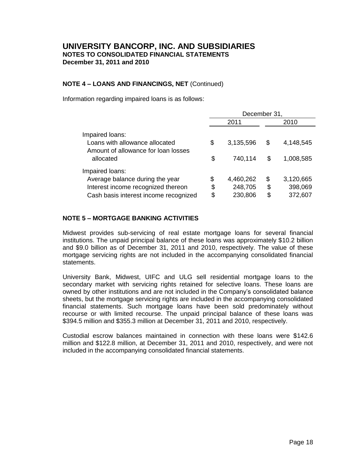### **NOTE 4 – LOANS AND FINANCINGS, NET** (Continued)

Information regarding impaired loans is as follows:

|                                                                                                       | December 31, |                      |          |                        |
|-------------------------------------------------------------------------------------------------------|--------------|----------------------|----------|------------------------|
|                                                                                                       | 2011         |                      |          | 2010                   |
| Impaired loans:<br>Loans with allowance allocated<br>Amount of allowance for loan losses<br>allocated | \$<br>\$     | 3,135,596<br>740,114 | \$<br>\$ | 4,148,545<br>1,008,585 |
|                                                                                                       |              |                      |          |                        |
| Impaired loans:                                                                                       |              |                      |          |                        |
| Average balance during the year                                                                       | \$           | 4,460,262            | \$       | 3,120,665              |
| Interest income recognized thereon                                                                    | \$           | 248,705              | \$       | 398,069                |
| Cash basis interest income recognized                                                                 | \$           | 230,806              | \$       | 372,607                |

### **NOTE 5 – MORTGAGE BANKING ACTIVITIES**

Midwest provides sub-servicing of real estate mortgage loans for several financial institutions. The unpaid principal balance of these loans was approximately \$10.2 billion and \$9.0 billion as of December 31, 2011 and 2010, respectively. The value of these mortgage servicing rights are not included in the accompanying consolidated financial statements.

University Bank, Midwest, UIFC and ULG sell residential mortgage loans to the secondary market with servicing rights retained for selective loans. These loans are owned by other institutions and are not included in the Company's consolidated balance sheets, but the mortgage servicing rights are included in the accompanying consolidated financial statements. Such mortgage loans have been sold predominately without recourse or with limited recourse. The unpaid principal balance of these loans was \$394.5 million and \$355.3 million at December 31, 2011 and 2010, respectively.

Custodial escrow balances maintained in connection with these loans were \$142.6 million and \$122.8 million, at December 31, 2011 and 2010, respectively, and were not included in the accompanying consolidated financial statements.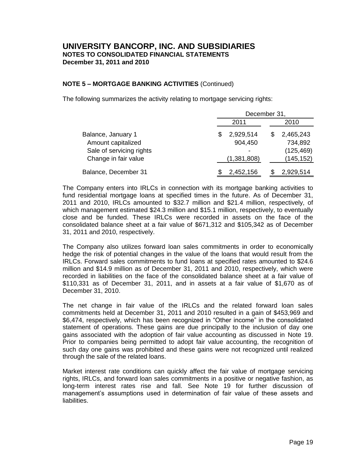### **NOTE 5 – MORTGAGE BANKING ACTIVITIES** (Continued)

The following summarizes the activity relating to mortgage servicing rights:

|                          | December 31, |             |  |            |  |
|--------------------------|--------------|-------------|--|------------|--|
|                          |              | 2011        |  | 2010       |  |
| Balance, January 1       | S            | 2,929,514   |  | 2,465,243  |  |
| Amount capitalized       |              | 904,450     |  | 734,892    |  |
| Sale of servicing rights |              |             |  | (125, 469) |  |
| Change in fair value     |              | (1,381,808) |  | (145, 152) |  |
| Balance, December 31     |              | 2,452,156   |  | 2,929,514  |  |

The Company enters into IRLCs in connection with its mortgage banking activities to fund residential mortgage loans at specified times in the future. As of December 31, 2011 and 2010, IRLCs amounted to \$32.7 million and \$21.4 million, respectively, of which management estimated \$24.3 million and \$15.1 million, respectively, to eventually close and be funded. These IRLCs were recorded in assets on the face of the consolidated balance sheet at a fair value of \$671,312 and \$105,342 as of December 31, 2011 and 2010, respectively.

The Company also utilizes forward loan sales commitments in order to economically hedge the risk of potential changes in the value of the loans that would result from the IRLCs. Forward sales commitments to fund loans at specified rates amounted to \$24.6 million and \$14.9 million as of December 31, 2011 and 2010, respectively, which were recorded in liabilities on the face of the consolidated balance sheet at a fair value of \$110,331 as of December 31, 2011, and in assets at a fair value of \$1,670 as of December 31, 2010.

The net change in fair value of the IRLCs and the related forward loan sales commitments held at December 31, 2011 and 2010 resulted in a gain of \$453,969 and \$6,474, respectively, which has been recognized in "Other income" in the consolidated statement of operations. These gains are due principally to the inclusion of day one gains associated with the adoption of fair value accounting as discussed in Note 19. Prior to companies being permitted to adopt fair value accounting, the recognition of such day one gains was prohibited and these gains were not recognized until realized through the sale of the related loans.

Market interest rate conditions can quickly affect the fair value of mortgage servicing rights, IRLCs, and forward loan sales commitments in a positive or negative fashion, as long-term interest rates rise and fall. See Note 19 for further discussion of management's assumptions used in determination of fair value of these assets and liabilities.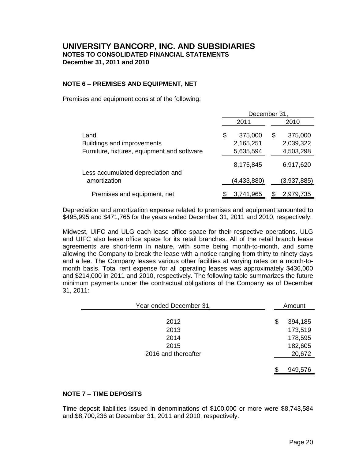### **NOTE 6 – PREMISES AND EQUIPMENT, NET**

Premises and equipment consist of the following:

|                                             | December 31. |             |     |             |  |
|---------------------------------------------|--------------|-------------|-----|-------------|--|
|                                             | 2011         |             |     | 2010        |  |
| Land                                        | \$           | 375,000     | \$. | 375,000     |  |
| Buildings and improvements                  |              | 2,165,251   |     | 2,039,322   |  |
| Furniture, fixtures, equipment and software |              | 5,635,594   |     | 4,503,298   |  |
| Less accumulated depreciation and           |              | 8,175,845   |     | 6,917,620   |  |
| amortization                                |              | (4,433,880) |     | (3,937,885) |  |
| Premises and equipment, net                 |              | 3,741,965   |     | 2,979,735   |  |

Depreciation and amortization expense related to premises and equipment amounted to \$495,995 and \$471,765 for the years ended December 31, 2011 and 2010, respectively.

Midwest, UIFC and ULG each lease office space for their respective operations. ULG and UIFC also lease office space for its retail branches. All of the retail branch lease agreements are short-term in nature, with some being month-to-month, and some allowing the Company to break the lease with a notice ranging from thirty to ninety days and a fee. The Company leases various other facilities at varying rates on a month-tomonth basis. Total rent expense for all operating leases was approximately \$436,000 and \$214,000 in 2011 and 2010, respectively. The following table summarizes the future minimum payments under the contractual obligations of the Company as of December 31, 2011:

| Year ended December 31, | Amount        |
|-------------------------|---------------|
| 2012                    | \$<br>394,185 |
| 2013                    | 173,519       |
| 2014                    | 178,595       |
| 2015                    | 182,605       |
| 2016 and thereafter     | 20,672        |
|                         |               |
|                         | 949,576       |

### **NOTE 7 – TIME DEPOSITS**

Time deposit liabilities issued in denominations of \$100,000 or more were \$8,743,584 and \$8,700,236 at December 31, 2011 and 2010, respectively.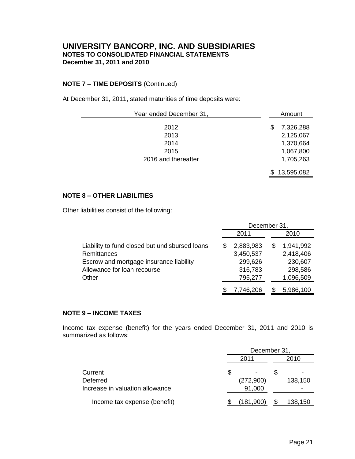### **NOTE 7 – TIME DEPOSITS** (Continued)

At December 31, 2011, stated maturities of time deposits were:

| Year ended December 31, |    | Amount     |  |  |
|-------------------------|----|------------|--|--|
| 2012                    | \$ | 7,326,288  |  |  |
| 2013                    |    | 2,125,067  |  |  |
| 2014                    |    | 1,370,664  |  |  |
| 2015                    |    | 1,067,800  |  |  |
| 2016 and thereafter     |    | 1,705,263  |  |  |
|                         |    | 13,595,082 |  |  |

### **NOTE 8 – OTHER LIABILITIES**

Other liabilities consist of the following:

|                                                | December 31 |           |  |           |  |
|------------------------------------------------|-------------|-----------|--|-----------|--|
|                                                |             | 2011      |  | 2010      |  |
| Liability to fund closed but undisbursed loans | \$          | 2,883,983 |  | 1,941,992 |  |
| Remittances                                    |             | 3,450,537 |  | 2,418,406 |  |
| Escrow and mortgage insurance liability        |             | 299,626   |  | 230,607   |  |
| Allowance for loan recourse                    |             | 316,783   |  | 298,586   |  |
| Other                                          |             | 795,277   |  | 1,096,509 |  |
|                                                |             | 7,746,206 |  | 5,986,100 |  |

### **NOTE 9 – INCOME TAXES**

Income tax expense (benefit) for the years ended December 31, 2011 and 2010 is summarized as follows:

|                                 | December 31, |           |  |         |
|---------------------------------|--------------|-----------|--|---------|
|                                 |              | 2011      |  | 2010    |
| Current                         | \$           |           |  |         |
| Deferred                        |              | (272,900) |  | 138,150 |
| Increase in valuation allowance |              | 91,000    |  |         |
| Income tax expense (benefit)    |              | (181,900) |  | 138,150 |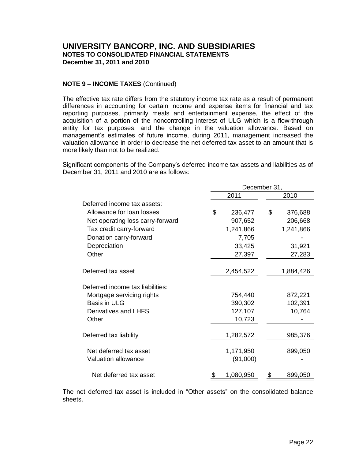### **NOTE 9 – INCOME TAXES** (Continued)

The effective tax rate differs from the statutory income tax rate as a result of permanent differences in accounting for certain income and expense items for financial and tax reporting purposes, primarily meals and entertainment expense, the effect of the acquisition of a portion of the noncontrolling interest of ULG which is a flow-through entity for tax purposes, and the change in the valuation allowance. Based on management's estimates of future income, during 2011, management increased the valuation allowance in order to decrease the net deferred tax asset to an amount that is more likely than not to be realized.

Significant components of the Company's deferred income tax assets and liabilities as of December 31, 2011 and 2010 are as follows:

|                                  | December 31,  |    |           |  |  |
|----------------------------------|---------------|----|-----------|--|--|
|                                  | 2011          |    | 2010      |  |  |
| Deferred income tax assets:      |               |    |           |  |  |
| Allowance for loan losses        | \$<br>236,477 | \$ | 376,688   |  |  |
| Net operating loss carry-forward | 907,652       |    | 206,668   |  |  |
| Tax credit carry-forward         | 1,241,866     |    | 1,241,866 |  |  |
| Donation carry-forward           | 7,705         |    |           |  |  |
| Depreciation                     | 33,425        |    | 31,921    |  |  |
| Other                            | 27,397        |    | 27,283    |  |  |
|                                  |               |    |           |  |  |
| Deferred tax asset               | 2,454,522     |    | 1,884,426 |  |  |
| Deferred income tax liabilities: |               |    |           |  |  |
| Mortgage servicing rights        | 754,440       |    | 872,221   |  |  |
| <b>Basis in ULG</b>              | 390,302       |    | 102,391   |  |  |
| Derivatives and LHFS             | 127,107       |    | 10,764    |  |  |
| Other                            | 10,723        |    |           |  |  |
| Deferred tax liability           | 1,282,572     |    | 985,376   |  |  |
| Net deferred tax asset           | 1,171,950     |    | 899,050   |  |  |
| <b>Valuation allowance</b>       | (91,000)      |    |           |  |  |
|                                  |               |    |           |  |  |
| Net deferred tax asset           | 1,080,950     | \$ | 899,050   |  |  |

The net deferred tax asset is included in "Other assets" on the consolidated balance sheets.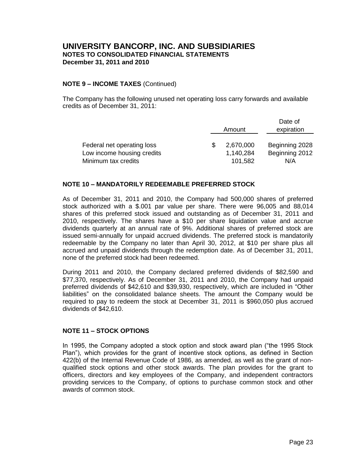### **NOTE 9 – INCOME TAXES** (Continued)

The Company has the following unused net operating loss carry forwards and available credits as of December 31, 2011:

|                            |           | Date of        |
|----------------------------|-----------|----------------|
|                            | Amount    | expiration     |
|                            |           |                |
| Federal net operating loss | 2,670,000 | Beginning 2028 |
| Low income housing credits | 1,140,284 | Beginning 2012 |
| Minimum tax credits        | 101,582   | N/A            |

### **NOTE 10 – MANDATORILY REDEEMABLE PREFERRED STOCK**

As of December 31, 2011 and 2010, the Company had 500,000 shares of preferred stock authorized with a \$.001 par value per share. There were 96,005 and 88,014 shares of this preferred stock issued and outstanding as of December 31, 2011 and 2010, respectively. The shares have a \$10 per share liquidation value and accrue dividends quarterly at an annual rate of 9%. Additional shares of preferred stock are issued semi-annually for unpaid accrued dividends. The preferred stock is mandatorily redeemable by the Company no later than April 30, 2012, at \$10 per share plus all accrued and unpaid dividends through the redemption date. As of December 31, 2011, none of the preferred stock had been redeemed.

During 2011 and 2010, the Company declared preferred dividends of \$82,590 and \$77,370, respectively. As of December 31, 2011 and 2010, the Company had unpaid preferred dividends of \$42,610 and \$39,930, respectively, which are included in "Other liabilities" on the consolidated balance sheets. The amount the Company would be required to pay to redeem the stock at December 31, 2011 is \$960,050 plus accrued dividends of \$42,610.

### **NOTE 11 – STOCK OPTIONS**

In 1995, the Company adopted a stock option and stock award plan ("the 1995 Stock Plan"), which provides for the grant of incentive stock options, as defined in Section 422(b) of the Internal Revenue Code of 1986, as amended, as well as the grant of nonqualified stock options and other stock awards. The plan provides for the grant to officers, directors and key employees of the Company, and independent contractors providing services to the Company, of options to purchase common stock and other awards of common stock.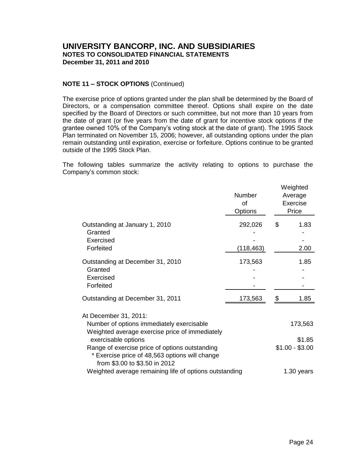### **NOTE 11 – STOCK OPTIONS** (Continued)

The exercise price of options granted under the plan shall be determined by the Board of Directors, or a compensation committee thereof. Options shall expire on the date specified by the Board of Directors or such committee, but not more than 10 years from the date of grant (or five years from the date of grant for incentive stock options if the grantee owned 10% of the Company's voting stock at the date of grant). The 1995 Stock Plan terminated on November 15, 2006; however, all outstanding options under the plan remain outstanding until expiration, exercise or forfeiture. Options continue to be granted outside of the 1995 Stock Plan.

The following tables summarize the activity relating to options to purchase the Company's common stock:

|                                                                                                                                                          | <b>Number</b><br>of<br>Options |            | Weighted<br>Average<br>Exercise<br>Price |  |  |  |
|----------------------------------------------------------------------------------------------------------------------------------------------------------|--------------------------------|------------|------------------------------------------|--|--|--|
| Outstanding at January 1, 2010<br>Granted<br>Exercised<br>Forfeited                                                                                      | 292,026<br>(118, 463)          | \$         | 1.83<br>2.00                             |  |  |  |
| Outstanding at December 31, 2010<br>Granted<br>Exercised<br>Forfeited                                                                                    | 173,563                        |            | 1.85                                     |  |  |  |
| Outstanding at December 31, 2011                                                                                                                         | 173,563                        |            | 1.85                                     |  |  |  |
| At December 31, 2011:<br>Number of options immediately exercisable<br>Weighted average exercise price of immediately                                     |                                |            | 173,563                                  |  |  |  |
| exercisable options<br>Range of exercise price of options outstanding<br>* Exercise price of 48,563 options will change<br>from \$3.00 to \$3.50 in 2012 |                                |            | \$1.85<br>$$1.00 - $3.00$                |  |  |  |
| Weighted average remaining life of options outstanding                                                                                                   |                                | 1.30 years |                                          |  |  |  |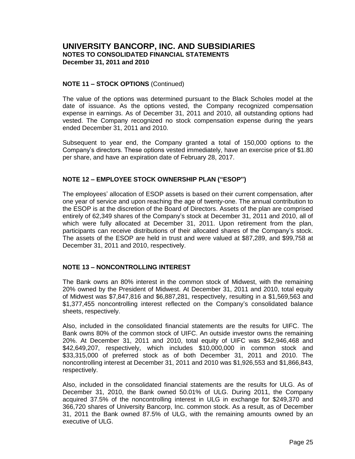### **NOTE 11 – STOCK OPTIONS** (Continued)

The value of the options was determined pursuant to the Black Scholes model at the date of issuance. As the options vested, the Company recognized compensation expense in earnings. As of December 31, 2011 and 2010, all outstanding options had vested. The Company recognized no stock compensation expense during the years ended December 31, 2011 and 2010.

Subsequent to year end, the Company granted a total of 150,000 options to the Company's directors. These options vested immediately, have an exercise price of \$1.80 per share, and have an expiration date of February 28, 2017.

### **NOTE 12 – EMPLOYEE STOCK OWNERSHIP PLAN ("ESOP")**

The employees' allocation of ESOP assets is based on their current compensation, after one year of service and upon reaching the age of twenty-one. The annual contribution to the ESOP is at the discretion of the Board of Directors. Assets of the plan are comprised entirely of 62,349 shares of the Company's stock at December 31, 2011 and 2010, all of which were fully allocated at December 31, 2011. Upon retirement from the plan, participants can receive distributions of their allocated shares of the Company's stock. The assets of the ESOP are held in trust and were valued at \$87,289, and \$99,758 at December 31, 2011 and 2010, respectively.

### **NOTE 13 – NONCONTROLLING INTEREST**

The Bank owns an 80% interest in the common stock of Midwest, with the remaining 20% owned by the President of Midwest. At December 31, 2011 and 2010, total equity of Midwest was \$7,847,816 and \$6,887,281, respectively, resulting in a \$1,569,563 and \$1,377,455 noncontrolling interest reflected on the Company's consolidated balance sheets, respectively.

Also, included in the consolidated financial statements are the results for UIFC. The Bank owns 80% of the common stock of UIFC. An outside investor owns the remaining 20%. At December 31, 2011 and 2010, total equity of UIFC was \$42,946,468 and \$42,649,207, respectively, which includes \$10,000,000 in common stock and \$33,315,000 of preferred stock as of both December 31, 2011 and 2010. The noncontrolling interest at December 31, 2011 and 2010 was \$1,926,553 and \$1,866,843, respectively.

Also, included in the consolidated financial statements are the results for ULG. As of December 31, 2010, the Bank owned 50.01% of ULG. During 2011, the Company acquired 37.5% of the noncontrolling interest in ULG in exchange for \$249,370 and 366,720 shares of University Bancorp, Inc. common stock. As a result, as of December 31, 2011 the Bank owned 87.5% of ULG, with the remaining amounts owned by an executive of ULG.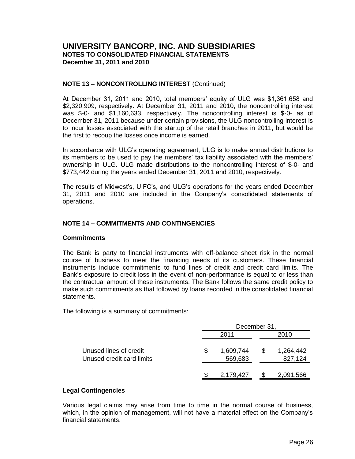### **NOTE 13 – NONCONTROLLING INTEREST** (Continued)

At December 31, 2011 and 2010, total members' equity of ULG was \$1,361,658 and \$2,320,909, respectively. At December 31, 2011 and 2010, the noncontrolling interest was \$-0- and \$1,160,633, respectively. The noncontrolling interest is \$-0- as of December 31, 2011 because under certain provisions, the ULG noncontrolling interest is to incur losses associated with the startup of the retail branches in 2011, but would be the first to recoup the losses once income is earned.

In accordance with ULG's operating agreement, ULG is to make annual distributions to its members to be used to pay the members' tax liability associated with the members' ownership in ULG. ULG made distributions to the noncontrolling interest of \$-0- and \$773,442 during the years ended December 31, 2011 and 2010, respectively.

The results of Midwest's, UIFC's, and ULG's operations for the years ended December 31, 2011 and 2010 are included in the Company's consolidated statements of operations.

### **NOTE 14 – COMMITMENTS AND CONTINGENCIES**

### **Commitments**

The Bank is party to financial instruments with off-balance sheet risk in the normal course of business to meet the financing needs of its customers. These financial instruments include commitments to fund lines of credit and credit card limits. The Bank's exposure to credit loss in the event of non-performance is equal to or less than the contractual amount of these instruments. The Bank follows the same credit policy to make such commitments as that followed by loans recorded in the consolidated financial statements.

The following is a summary of commitments:

|                                                     |   | December 31,         |              |                      |  |  |  |
|-----------------------------------------------------|---|----------------------|--------------|----------------------|--|--|--|
|                                                     |   | 2011                 |              | 2010                 |  |  |  |
| Unused lines of credit<br>Unused credit card limits | S | 1,609,744<br>569,683 | <sup>8</sup> | 1,264,442<br>827,124 |  |  |  |
|                                                     |   | 2,179,427            | <sup>8</sup> | 2,091,566            |  |  |  |

### **Legal Contingencies**

Various legal claims may arise from time to time in the normal course of business, which, in the opinion of management, will not have a material effect on the Company's financial statements.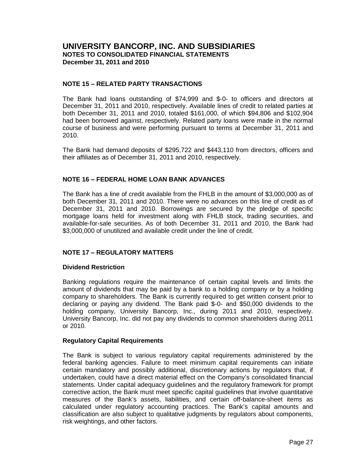### **NOTE 15 – RELATED PARTY TRANSACTIONS**

The Bank had loans outstanding of \$74,999 and \$-0- to officers and directors at December 31, 2011 and 2010, respectively. Available lines of credit to related parties at both December 31, 2011 and 2010, totaled \$161,000, of which \$94,806 and \$102,904 had been borrowed against, respectively. Related party loans were made in the normal course of business and were performing pursuant to terms at December 31, 2011 and 2010.

The Bank had demand deposits of \$295,722 and \$443,110 from directors, officers and their affiliates as of December 31, 2011 and 2010, respectively.

### **NOTE 16 – FEDERAL HOME LOAN BANK ADVANCES**

The Bank has a line of credit available from the FHLB in the amount of \$3,000,000 as of both December 31, 2011 and 2010. There were no advances on this line of credit as of December 31, 2011 and 2010. Borrowings are secured by the pledge of specific mortgage loans held for investment along with FHLB stock, trading securities, and available-for-sale securities. As of both December 31, 2011 and 2010, the Bank had \$3,000,000 of unutilized and available credit under the line of credit.

### **NOTE 17 – REGULATORY MATTERS**

### **Dividend Restriction**

Banking regulations require the maintenance of certain capital levels and limits the amount of dividends that may be paid by a bank to a holding company or by a holding company to shareholders. The Bank is currently required to get written consent prior to declaring or paying any dividend. The Bank paid \$-0- and \$50,000 dividends to the holding company, University Bancorp, Inc., during 2011 and 2010, respectively. University Bancorp, Inc. did not pay any dividends to common shareholders during 2011 or 2010.

### **Regulatory Capital Requirements**

The Bank is subject to various regulatory capital requirements administered by the federal banking agencies. Failure to meet minimum capital requirements can initiate certain mandatory and possibly additional, discretionary actions by regulators that, if undertaken, could have a direct material effect on the Company's consolidated financial statements. Under capital adequacy guidelines and the regulatory framework for prompt corrective action, the Bank must meet specific capital guidelines that involve quantitative measures of the Bank's assets, liabilities, and certain off-balance-sheet items as calculated under regulatory accounting practices. The Bank's capital amounts and classification are also subject to qualitative judgments by regulators about components, risk weightings, and other factors.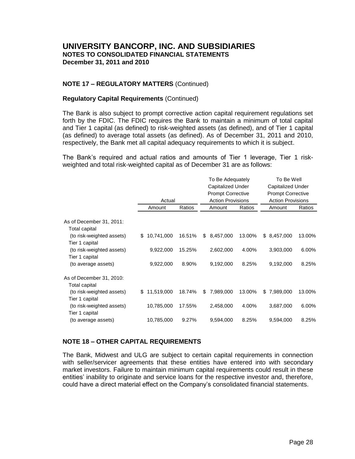### **NOTE 17 – REGULATORY MATTERS** (Continued)

### **Regulatory Capital Requirements** (Continued)

The Bank is also subject to prompt corrective action capital requirement regulations set forth by the FDIC. The FDIC requires the Bank to maintain a minimum of total capital and Tier 1 capital (as defined) to risk-weighted assets (as defined), and of Tier 1 capital (as defined) to average total assets (as defined). As of December 31, 2011 and 2010, respectively, the Bank met all capital adequacy requirements to which it is subject.

The Bank's required and actual ratios and amounts of Tier 1 leverage, Tier 1 riskweighted and total risk-weighted capital as of December 31 are as follows:

| To Be Well               |     |        | To Be Adequately         |              |            |    |                           |
|--------------------------|-----|--------|--------------------------|--------------|------------|----|---------------------------|
| <b>Capitalized Under</b> |     |        | Capitalized Under        |              |            |    |                           |
| <b>Prompt Corrective</b> |     |        | <b>Prompt Corrective</b> |              |            |    |                           |
| <b>Action Provisions</b> |     |        | <b>Action Provisions</b> |              | Actual     |    |                           |
| Ratios<br>Amount         |     | Ratios | Amount                   | Ratios       | Amount     |    |                           |
|                          |     |        |                          |              |            |    | As of December 31, 2011:  |
|                          |     |        |                          |              |            |    | Total capital             |
| 13.00%<br>8,457,000      | \$. | 13.00% | 8,457,000                | \$<br>16.51% | 10,741,000 | S. | (to risk-weighted assets) |
|                          |     |        |                          |              |            |    | Tier 1 capital            |
| 3,903,000<br>6.00%       |     | 4.00%  | 2,602,000                | 15.25%       | 9,922,000  |    | (to risk-weighted assets) |
|                          |     |        |                          |              |            |    | Tier 1 capital            |
| 8.25%<br>9,192,000       |     | 8.25%  | 9,192,000                | 8.90%        | 9,922,000  |    | (to average assets)       |
|                          |     |        |                          |              |            |    | As of December 31, 2010:  |
|                          |     |        |                          |              |            |    | Total capital             |
| 7,989,000<br>13.00%      | \$  | 13.00% | 7,989,000                | \$<br>18.74% | 11,519,000 | S. | (to risk-weighted assets) |
|                          |     |        |                          |              |            |    | Tier 1 capital            |
| 3,687,000<br>6.00%       |     | 4.00%  | 2,458,000                | 17.55%       | 10,785,000 |    | (to risk-weighted assets) |
|                          |     |        |                          |              |            |    | Tier 1 capital            |
| 9,594,000<br>8.25%       |     | 8.25%  | 9,594,000                | 9.27%        | 10,785,000 |    | (to average assets)       |
|                          |     |        |                          |              |            |    |                           |

### **NOTE 18 – OTHER CAPITAL REQUIREMENTS**

The Bank, Midwest and ULG are subject to certain capital requirements in connection with seller/servicer agreements that these entities have entered into with secondary market investors. Failure to maintain minimum capital requirements could result in these entities' inability to originate and service loans for the respective investor and, therefore, could have a direct material effect on the Company's consolidated financial statements.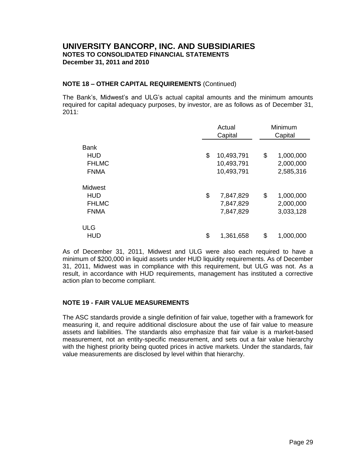### **NOTE 18 – OTHER CAPITAL REQUIREMENTS** (Continued)

The Bank's, Midwest's and ULG's actual capital amounts and the minimum amounts required for capital adequacy purposes, by investor, are as follows as of December 31, 2011:

|                                                          |    | Actual<br>Capital                      | Minimum<br>Capital                        |  |  |  |
|----------------------------------------------------------|----|----------------------------------------|-------------------------------------------|--|--|--|
| <b>Bank</b><br><b>HUD</b><br><b>FHLMC</b><br><b>FNMA</b> |    | 10,493,791<br>10,493,791<br>10,493,791 | \$<br>1,000,000<br>2,000,000<br>2,585,316 |  |  |  |
| Midwest<br><b>HUD</b><br><b>FHLMC</b><br><b>FNMA</b>     | \$ | 7,847,829<br>7,847,829<br>7,847,829    | \$<br>1,000,000<br>2,000,000<br>3,033,128 |  |  |  |
| <b>ULG</b><br><b>HUD</b>                                 | \$ | 1,361,658                              | \$<br>1,000,000                           |  |  |  |

As of December 31, 2011, Midwest and ULG were also each required to have a minimum of \$200,000 in liquid assets under HUD liquidity requirements. As of December 31, 2011, Midwest was in compliance with this requirement, but ULG was not. As a result, in accordance with HUD requirements, management has instituted a corrective action plan to become compliant.

### **NOTE 19 - FAIR VALUE MEASUREMENTS**

The ASC standards provide a single definition of fair value, together with a framework for measuring it, and require additional disclosure about the use of fair value to measure assets and liabilities. The standards also emphasize that fair value is a market-based measurement, not an entity-specific measurement, and sets out a fair value hierarchy with the highest priority being quoted prices in active markets. Under the standards, fair value measurements are disclosed by level within that hierarchy.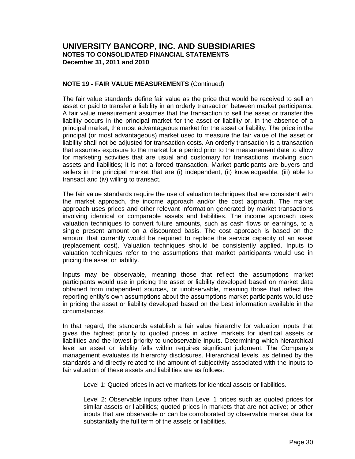### **NOTE 19 - FAIR VALUE MEASUREMENTS** (Continued)

The fair value standards define fair value as the price that would be received to sell an asset or paid to transfer a liability in an orderly transaction between market participants. A fair value measurement assumes that the transaction to sell the asset or transfer the liability occurs in the principal market for the asset or liability or, in the absence of a principal market, the most advantageous market for the asset or liability. The price in the principal (or most advantageous) market used to measure the fair value of the asset or liability shall not be adjusted for transaction costs. An orderly transaction is a transaction that assumes exposure to the market for a period prior to the measurement date to allow for marketing activities that are usual and customary for transactions involving such assets and liabilities; it is not a forced transaction. Market participants are buyers and sellers in the principal market that are (i) independent, (ii) knowledgeable, (iii) able to transact and (iv) willing to transact.

The fair value standards require the use of valuation techniques that are consistent with the market approach, the income approach and/or the cost approach. The market approach uses prices and other relevant information generated by market transactions involving identical or comparable assets and liabilities. The income approach uses valuation techniques to convert future amounts, such as cash flows or earnings, to a single present amount on a discounted basis. The cost approach is based on the amount that currently would be required to replace the service capacity of an asset (replacement cost). Valuation techniques should be consistently applied. Inputs to valuation techniques refer to the assumptions that market participants would use in pricing the asset or liability.

Inputs may be observable, meaning those that reflect the assumptions market participants would use in pricing the asset or liability developed based on market data obtained from independent sources, or unobservable, meaning those that reflect the reporting entity's own assumptions about the assumptions market participants would use in pricing the asset or liability developed based on the best information available in the circumstances.

In that regard, the standards establish a fair value hierarchy for valuation inputs that gives the highest priority to quoted prices in active markets for identical assets or liabilities and the lowest priority to unobservable inputs. Determining which hierarchical level an asset or liability falls within requires significant judgment. The Company's management evaluates its hierarchy disclosures. Hierarchical levels, as defined by the standards and directly related to the amount of subjectivity associated with the inputs to fair valuation of these assets and liabilities are as follows:

Level 1: Quoted prices in active markets for identical assets or liabilities.

Level 2: Observable inputs other than Level 1 prices such as quoted prices for similar assets or liabilities; quoted prices in markets that are not active; or other inputs that are observable or can be corroborated by observable market data for substantially the full term of the assets or liabilities.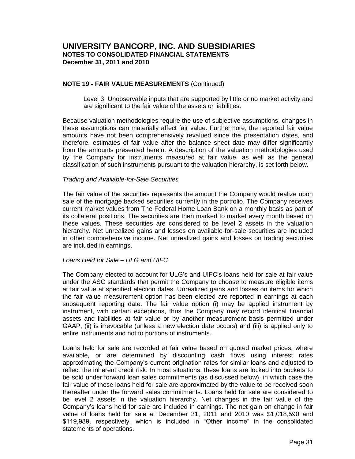### **NOTE 19 - FAIR VALUE MEASUREMENTS** (Continued)

Level 3: Unobservable inputs that are supported by little or no market activity and are significant to the fair value of the assets or liabilities.

Because valuation methodologies require the use of subjective assumptions, changes in these assumptions can materially affect fair value. Furthermore, the reported fair value amounts have not been comprehensively revalued since the presentation dates, and therefore, estimates of fair value after the balance sheet date may differ significantly from the amounts presented herein. A description of the valuation methodologies used by the Company for instruments measured at fair value, as well as the general classification of such instruments pursuant to the valuation hierarchy, is set forth below.

#### *Trading and Available-for-Sale Securities*

The fair value of the securities represents the amount the Company would realize upon sale of the mortgage backed securities currently in the portfolio. The Company receives current market values from The Federal Home Loan Bank on a monthly basis as part of its collateral positions. The securities are then marked to market every month based on these values. These securities are considered to be level 2 assets in the valuation hierarchy. Net unrealized gains and losses on available-for-sale securities are included in other comprehensive income. Net unrealized gains and losses on trading securities are included in earnings.

### *Loans Held for Sale – ULG and UIFC*

The Company elected to account for ULG's and UIFC's loans held for sale at fair value under the ASC standards that permit the Company to choose to measure eligible items at fair value at specified election dates. Unrealized gains and losses on items for which the fair value measurement option has been elected are reported in earnings at each subsequent reporting date. The fair value option (i) may be applied instrument by instrument, with certain exceptions, thus the Company may record identical financial assets and liabilities at fair value or by another measurement basis permitted under GAAP, (ii) is irrevocable (unless a new election date occurs) and (iii) is applied only to entire instruments and not to portions of instruments.

Loans held for sale are recorded at fair value based on quoted market prices, where available, or are determined by discounting cash flows using interest rates approximating the Company's current origination rates for similar loans and adjusted to reflect the inherent credit risk. In most situations, these loans are locked into buckets to be sold under forward loan sales commitments (as discussed below), in which case the fair value of these loans held for sale are approximated by the value to be received soon thereafter under the forward sales commitments. Loans held for sale are considered to be level 2 assets in the valuation hierarchy. Net changes in the fair value of the Company's loans held for sale are included in earnings. The net gain on change in fair value of loans held for sale at December 31, 2011 and 2010 was \$1,018,590 and \$119,989, respectively, which is included in "Other income" in the consolidated statements of operations.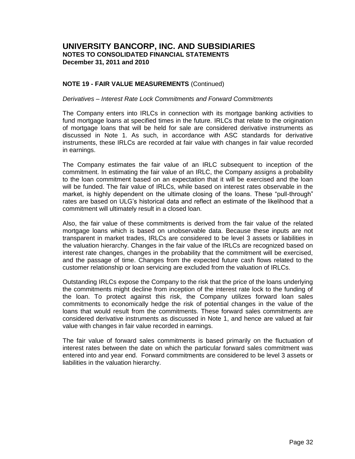### **NOTE 19 - FAIR VALUE MEASUREMENTS** (Continued)

#### *Derivatives – Interest Rate Lock Commitments and Forward Commitments*

The Company enters into IRLCs in connection with its mortgage banking activities to fund mortgage loans at specified times in the future. IRLCs that relate to the origination of mortgage loans that will be held for sale are considered derivative instruments as discussed in Note 1. As such, in accordance with ASC standards for derivative instruments, these IRLCs are recorded at fair value with changes in fair value recorded in earnings.

The Company estimates the fair value of an IRLC subsequent to inception of the commitment. In estimating the fair value of an IRLC, the Company assigns a probability to the loan commitment based on an expectation that it will be exercised and the loan will be funded. The fair value of IRLCs, while based on interest rates observable in the market, is highly dependent on the ultimate closing of the loans. These "pull-through" rates are based on ULG's historical data and reflect an estimate of the likelihood that a commitment will ultimately result in a closed loan.

Also, the fair value of these commitments is derived from the fair value of the related mortgage loans which is based on unobservable data. Because these inputs are not transparent in market trades, IRLCs are considered to be level 3 assets or liabilities in the valuation hierarchy. Changes in the fair value of the IRLCs are recognized based on interest rate changes, changes in the probability that the commitment will be exercised, and the passage of time. Changes from the expected future cash flows related to the customer relationship or loan servicing are excluded from the valuation of IRLCs.

Outstanding IRLCs expose the Company to the risk that the price of the loans underlying the commitments might decline from inception of the interest rate lock to the funding of the loan. To protect against this risk, the Company utilizes forward loan sales commitments to economically hedge the risk of potential changes in the value of the loans that would result from the commitments. These forward sales commitments are considered derivative instruments as discussed in Note 1, and hence are valued at fair value with changes in fair value recorded in earnings.

The fair value of forward sales commitments is based primarily on the fluctuation of interest rates between the date on which the particular forward sales commitment was entered into and year end. Forward commitments are considered to be level 3 assets or liabilities in the valuation hierarchy.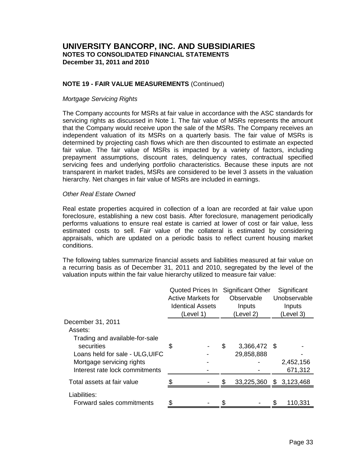### **NOTE 19 - FAIR VALUE MEASUREMENTS** (Continued)

#### *Mortgage Servicing Rights*

The Company accounts for MSRs at fair value in accordance with the ASC standards for servicing rights as discussed in Note 1. The fair value of MSRs represents the amount that the Company would receive upon the sale of the MSRs. The Company receives an independent valuation of its MSRs on a quarterly basis. The fair value of MSRs is determined by projecting cash flows which are then discounted to estimate an expected fair value. The fair value of MSRs is impacted by a variety of factors, including prepayment assumptions, discount rates, delinquency rates, contractual specified servicing fees and underlying portfolio characteristics. Because these inputs are not transparent in market trades, MSRs are considered to be level 3 assets in the valuation hierarchy. Net changes in fair value of MSRs are included in earnings.

#### *Other Real Estate Owned*

Real estate properties acquired in collection of a loan are recorded at fair value upon foreclosure, establishing a new cost basis. After foreclosure, management periodically performs valuations to ensure real estate is carried at lower of cost or fair value, less estimated costs to sell. Fair value of the collateral is estimated by considering appraisals, which are updated on a periodic basis to reflect current housing market conditions.

The following tables summarize financial assets and liabilities measured at fair value on a recurring basis as of December 31, 2011 and 2010, segregated by the level of the valuation inputs within the fair value hierarchy utilized to measure fair value:

|                                              | Quoted Prices In<br><b>Active Markets for</b><br><b>Identical Assets</b><br>(Level 1) |  |    | <b>Significant Other</b><br>Observable<br>Inputs<br>(Level 2) | Significant<br>Unobservable<br>Inputs<br>(Level 3) |           |  |  |
|----------------------------------------------|---------------------------------------------------------------------------------------|--|----|---------------------------------------------------------------|----------------------------------------------------|-----------|--|--|
| December 31, 2011                            |                                                                                       |  |    |                                                               |                                                    |           |  |  |
| Assets:                                      |                                                                                       |  |    |                                                               |                                                    |           |  |  |
| Trading and available-for-sale<br>securities | S                                                                                     |  | \$ | 3,366,472 \$                                                  |                                                    |           |  |  |
| Loans held for sale - ULG, UIFC              |                                                                                       |  |    | 29,858,888                                                    |                                                    |           |  |  |
| Mortgage servicing rights                    |                                                                                       |  |    |                                                               |                                                    | 2,452,156 |  |  |
| Interest rate lock commitments               |                                                                                       |  |    |                                                               |                                                    | 671,312   |  |  |
| Total assets at fair value                   |                                                                                       |  | \$ | 33,225,360 \$ 3,123,468                                       |                                                    |           |  |  |
| Liabilities:                                 |                                                                                       |  |    |                                                               |                                                    |           |  |  |
| Forward sales commitments                    |                                                                                       |  |    |                                                               | \$                                                 | 110,331   |  |  |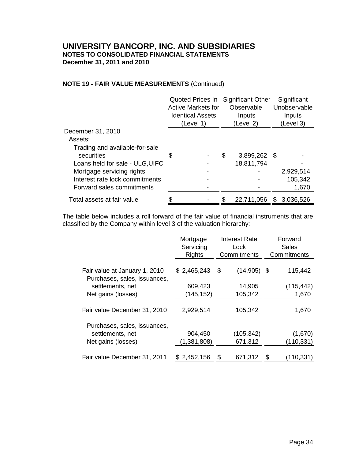### **NOTE 19 - FAIR VALUE MEASUREMENTS** (Continued)

|                                 | <b>Active Markets for</b><br><b>Identical Assets</b><br>(Level 1) |    | Quoted Prices In Significant Other<br>Observable<br>Inputs<br>(Level 2) |    | Significant<br>Unobservable<br>Inputs<br>(Level 3) |
|---------------------------------|-------------------------------------------------------------------|----|-------------------------------------------------------------------------|----|----------------------------------------------------|
| December 31, 2010               |                                                                   |    |                                                                         |    |                                                    |
| Assets:                         |                                                                   |    |                                                                         |    |                                                    |
| Trading and available-for-sale  |                                                                   |    |                                                                         |    |                                                    |
| securities                      | \$                                                                | \$ | 3,899,262 \$                                                            |    |                                                    |
| Loans held for sale - ULG, UIFC |                                                                   |    | 18,811,794                                                              |    |                                                    |
| Mortgage servicing rights       |                                                                   |    |                                                                         |    | 2,929,514                                          |
| Interest rate lock commitments  |                                                                   |    |                                                                         |    | 105,342                                            |
| Forward sales commitments       |                                                                   |    |                                                                         |    | 1,670                                              |
| Total assets at fair value      |                                                                   |    | 22,711,056                                                              | SБ | 3,036,526                                          |

The table below includes a roll forward of the fair value of financial instruments that are classified by the Company within level 3 of the valuation hierarchy:

|                                                                        | Mortgage<br>Servicing<br><b>Rights</b> | <b>Interest Rate</b><br>Lock<br>Commitments | Forward<br>Sales<br>Commitments |
|------------------------------------------------------------------------|----------------------------------------|---------------------------------------------|---------------------------------|
| Fair value at January 1, 2010<br>Purchases, sales, issuances,          | \$2,465,243                            | (14, 905)<br>\$                             | 115,442<br>-\$                  |
| settlements, net                                                       | 609,423                                | 14,905                                      | (115, 442)                      |
| Net gains (losses)                                                     | (145,152)                              | 105,342                                     | 1,670                           |
| Fair value December 31, 2010                                           | 2,929,514                              | 105,342                                     | 1,670                           |
| Purchases, sales, issuances,<br>settlements, net<br>Net gains (losses) | 904,450<br>(1,381,808)                 | (105, 342)<br>671,312                       | (1,670)<br>(110, 331)           |
| Fair value December 31, 2011                                           | \$2,452,156                            | 671,312<br>\$                               | (110,331)<br>\$                 |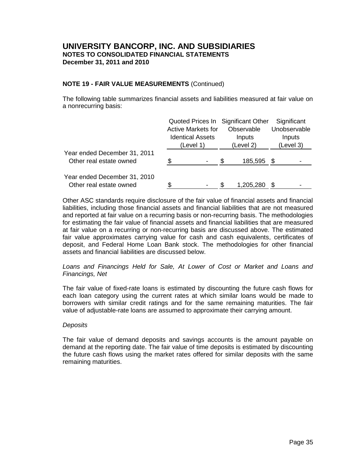### **NOTE 19 - FAIR VALUE MEASUREMENTS** (Continued)

The following table summarizes financial assets and liabilities measured at fair value on a nonrecurring basis:

|                                                         | Quoted Prices In Significant Other |  |  |            |           | Significant  |  |
|---------------------------------------------------------|------------------------------------|--|--|------------|-----------|--------------|--|
|                                                         | <b>Active Markets for</b>          |  |  | Observable |           | Unobservable |  |
|                                                         | <b>Identical Assets</b>            |  |  | Inputs     | Inputs    |              |  |
|                                                         | (Level 1)                          |  |  | (Level 2)  | (Level 3) |              |  |
| Year ended December 31, 2011<br>Other real estate owned |                                    |  |  | 185,595 \$ |           |              |  |
|                                                         |                                    |  |  |            |           |              |  |
| Year ended December 31, 2010                            |                                    |  |  |            |           |              |  |
| Other real estate owned                                 |                                    |  |  | 1,205,280  |           |              |  |

Other ASC standards require disclosure of the fair value of financial assets and financial liabilities, including those financial assets and financial liabilities that are not measured and reported at fair value on a recurring basis or non-recurring basis. The methodologies for estimating the fair value of financial assets and financial liabilities that are measured at fair value on a recurring or non-recurring basis are discussed above. The estimated fair value approximates carrying value for cash and cash equivalents, certificates of deposit, and Federal Home Loan Bank stock. The methodologies for other financial assets and financial liabilities are discussed below.

### *Loans and Financings Held for Sale, At Lower of Cost or Market and Loans and Financings, Net*

The fair value of fixed-rate loans is estimated by discounting the future cash flows for each loan category using the current rates at which similar loans would be made to borrowers with similar credit ratings and for the same remaining maturities. The fair value of adjustable-rate loans are assumed to approximate their carrying amount.

### *Deposits*

The fair value of demand deposits and savings accounts is the amount payable on demand at the reporting date. The fair value of time deposits is estimated by discounting the future cash flows using the market rates offered for similar deposits with the same remaining maturities.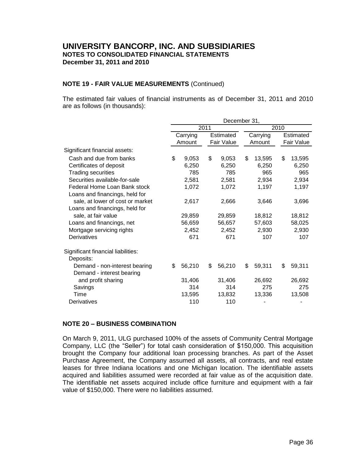### **NOTE 19 - FAIR VALUE MEASUREMENTS** (Continued)

The estimated fair values of financial instruments as of December 31, 2011 and 2010 are as follows (in thousands):

|                                    | December 31, |          |      |            |      |          |    |            |  |  |  |  |
|------------------------------------|--------------|----------|------|------------|------|----------|----|------------|--|--|--|--|
|                                    |              |          | 2011 |            | 2010 |          |    |            |  |  |  |  |
|                                    |              | Carrying |      | Estimated  |      | Carrying |    | Estimated  |  |  |  |  |
|                                    |              | Amount   |      | Fair Value |      | Amount   |    | Fair Value |  |  |  |  |
| Significant financial assets:      |              |          |      |            |      |          |    |            |  |  |  |  |
| Cash and due from banks            | \$           | 9,053    | \$   | 9,053      | \$   | 13,595   | \$ | 13,595     |  |  |  |  |
| Certificates of deposit            |              | 6,250    |      | 6,250      |      | 6,250    |    | 6,250      |  |  |  |  |
| <b>Trading securities</b>          |              | 785      |      | 785        |      | 965      |    | 965        |  |  |  |  |
| Securities available-for-sale      |              | 2,581    |      | 2,581      |      | 2,934    |    | 2,934      |  |  |  |  |
| Federal Home Loan Bank stock       |              | 1,072    |      | 1,072      |      | 1,197    |    | 1,197      |  |  |  |  |
| Loans and financings, held for     |              |          |      |            |      |          |    |            |  |  |  |  |
| sale, at lower of cost or market   |              | 2,617    |      | 2,666      |      | 3,646    |    | 3,696      |  |  |  |  |
| Loans and financings, held for     |              |          |      |            |      |          |    |            |  |  |  |  |
| sale, at fair value                |              | 29,859   |      | 29,859     |      | 18,812   |    | 18,812     |  |  |  |  |
| Loans and financings, net          |              | 56,659   |      | 56,657     |      | 57,603   |    | 58,025     |  |  |  |  |
| Mortgage servicing rights          |              | 2,452    |      | 2,452      |      | 2,930    |    | 2,930      |  |  |  |  |
| Derivatives                        |              | 671      |      | 671        |      | 107      |    | 107        |  |  |  |  |
| Significant financial liabilities: |              |          |      |            |      |          |    |            |  |  |  |  |
| Deposits:                          |              |          |      |            |      |          |    |            |  |  |  |  |
| Demand - non-interest bearing      | \$           | 56,210   | \$   | 56,210     | \$   | 59,311   | \$ | 59,311     |  |  |  |  |
| Demand - interest bearing          |              |          |      |            |      |          |    |            |  |  |  |  |
| and profit sharing                 |              | 31,406   |      | 31,406     |      | 26,692   |    | 26,692     |  |  |  |  |
| Savings                            |              | 314      |      | 314        |      | 275      |    | 275        |  |  |  |  |
| Time                               |              | 13,595   |      | 13,832     |      | 13,336   |    | 13,508     |  |  |  |  |
| Derivatives                        |              | 110      |      | 110        |      |          |    |            |  |  |  |  |

### **NOTE 20 – BUSINESS COMBINATION**

On March 9, 2011, ULG purchased 100% of the assets of Community Central Mortgage Company, LLC (the "Seller") for total cash consideration of \$150,000. This acquisition brought the Company four additional loan processing branches. As part of the Asset Purchase Agreement, the Company assumed all assets, all contracts, and real estate leases for three Indiana locations and one Michigan location. The identifiable assets acquired and liabilities assumed were recorded at fair value as of the acquisition date. The identifiable net assets acquired include office furniture and equipment with a fair value of \$150,000. There were no liabilities assumed.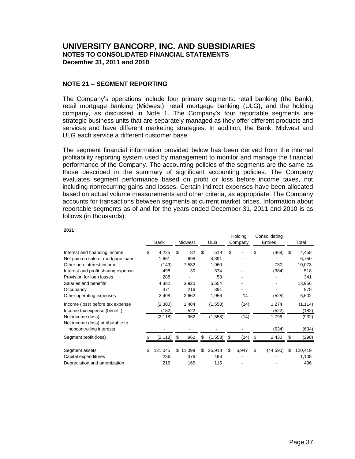### **NOTE 21 – SEGMENT REPORTING**

The Company's operations include four primary segments: retail banking (the Bank), retail mortgage banking (Midwest), retail mortgage banking (ULG), and the holding company, as discussed in Note 1. The Company's four reportable segments are strategic business units that are separately managed as they offer different products and services and have different marketing strategies. In addition, the Bank, Midwest and ULG each service a different customer base.

The segment financial information provided below has been derived from the internal profitability reporting system used by management to monitor and manage the financial performance of the Company. The accounting policies of the segments are the same as those described in the summary of significant accounting policies. The Company evaluates segment performance based on profit or loss before income taxes, not including nonrecurring gains and losses. Certain indirect expenses have been allocated based on actual volume measurements and other criteria, as appropriate. The Company accounts for transactions between segments at current market prices. Information about reportable segments as of and for the years ended December 31, 2011 and 2010 is as follows (in thousands):

|                                     | Bank          | <b>ULG</b><br>Midwest |          | Holding<br>Company |    | Consolidating<br>Entries |    | Total    |    |          |
|-------------------------------------|---------------|-----------------------|----------|--------------------|----|--------------------------|----|----------|----|----------|
| Interest and financing income       | \$<br>4,225   | \$                    | 82       | \$<br>519          | \$ |                          | \$ | (368)    | \$ | 4,458    |
| Net gain on sale of mortgage loans  | 1,661         |                       | 698      | 4,391              |    |                          |    |          |    | 6,750    |
| Other non-interest income           | (149)         |                       | 7,532    | 1,960              |    |                          |    | 730      |    | 10,073   |
| Interest and profit sharing expense | 498           |                       | 30       | 374                |    |                          |    | (384)    |    | 518      |
| Provision for loan losses           | 288           |                       |          | 53                 |    |                          |    |          |    | 341      |
| Salaries and benefits               | 4,382         |                       | 3,920    | 5,654              |    |                          |    |          |    | 13,956   |
| Occupancy                           | 371           |                       | 216      | 391                |    |                          |    |          |    | 978      |
| Other operating expenses            | 2,498         |                       | 2,662    | 1,956              |    | 14                       |    | (528)    |    | 6,602    |
| Income (loss) before tax expense    | (2,300)       |                       | 1,484    | (1,558)            |    | (14)                     |    | 1,274    |    | (1, 114) |
| Income tax expense (benefit)        | (182)         |                       | 522      |                    |    |                          |    | (522)    |    | (182)    |
| Net income (loss)                   | (2, 118)      |                       | 962      | (1,558)            |    | (14)                     |    | 1,796    |    | (932)    |
| Net income (loss) attributable to   |               |                       |          |                    |    |                          |    |          |    |          |
| noncontrolling interests            |               |                       |          |                    |    |                          |    | (634)    |    | (634)    |
| Segment profit (loss)               | (2, 118)      | \$                    | 962      | \$<br>(1,558)      | \$ | (14)                     | \$ | 2,430    | \$ | (298)    |
| Segment assets                      | \$<br>121,045 |                       | \$11,099 | \$<br>25,918       | \$ | 6,947                    | \$ | (44,590) | \$ | 120,419  |
| Capital expenditures                | 236           |                       | 376      | 496                |    |                          |    |          |    | 1,108    |
| Depreciation and amortization       | 216           |                       | 165      | 115                |    |                          |    |          |    | 496      |

**2011**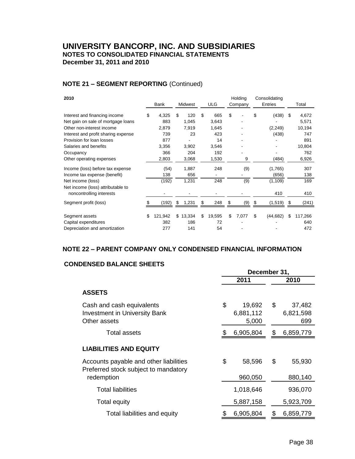# **NOTE 21 – SEGMENT REPORTING** (Continued)

| 2010                                                                    |                             |                            |    |                    | Holding     | Consolidating   |    |         |
|-------------------------------------------------------------------------|-----------------------------|----------------------------|----|--------------------|-------------|-----------------|----|---------|
|                                                                         | Bank                        | Midwest                    |    | <b>ULG</b>         | Company     | Entries         |    | Total   |
| Interest and financing income                                           | \$<br>4,325                 | \$<br>120                  | \$ | 665                | \$          | \$<br>(438)     | \$ | 4,672   |
| Net gain on sale of mortgage loans                                      | 883                         | 1,045                      |    | 3,643              | -           |                 |    | 5,571   |
| Other non-interest income                                               | 2,879                       | 7,919                      |    | 1,645              |             | (2, 249)        |    | 10,194  |
| Interest and profit sharing expense                                     | 739                         | 23                         |    | 423                |             | (438)           |    | 747     |
| Provision for loan losses                                               | 877                         |                            |    | 14                 |             |                 |    | 891     |
| Salaries and benefits                                                   | 3,356                       | 3,902                      |    | 3,546              |             |                 |    | 10,804  |
| Occupancy                                                               | 366                         | 204                        |    | 192                |             |                 |    | 762     |
| Other operating expenses                                                | 2,803                       | 3,068                      |    | 1,530              | 9           | (484)           |    | 6,926   |
| Income (loss) before tax expense                                        | (54)                        | 1,887                      |    | 248                | (9)         | (1,765)         |    | 307     |
| Income tax expense (benefit)                                            | 138                         | 656                        |    |                    |             | (656)           |    | 138     |
| Net income (loss)                                                       | (192)                       | 1,231                      |    | 248                | (9)         | (1, 109)        |    | 169     |
| Net income (loss) attributable to                                       |                             |                            |    |                    |             |                 |    |         |
| noncontrolling interests                                                |                             |                            |    |                    |             | 410             |    | 410     |
| Segment profit (loss)                                                   | (192)                       | \$<br>1,231                | S  | 248                | \$<br>(9)   | \$<br>(1, 519)  | S  | (241)   |
|                                                                         |                             |                            |    |                    |             |                 |    |         |
|                                                                         |                             |                            |    |                    |             |                 |    | 640     |
|                                                                         |                             |                            |    |                    |             |                 |    | 472     |
| Segment assets<br>Capital expenditures<br>Depreciation and amortization | \$<br>121,942<br>382<br>277 | \$<br>13,334<br>186<br>141 | \$ | 19,595<br>72<br>54 | \$<br>7,077 | \$<br>(44, 682) | \$ | 117,266 |

# **NOTE 22 – PARENT COMPANY ONLY CONDENSED FINANCIAL INFORMATION**

### **CONDENSED BALANCE SHEETS**

|                                                                                   | December 31, |                              |    |                            |
|-----------------------------------------------------------------------------------|--------------|------------------------------|----|----------------------------|
|                                                                                   |              | 2011                         |    | 2010                       |
| <b>ASSETS</b>                                                                     |              |                              |    |                            |
| Cash and cash equivalents<br><b>Investment in University Bank</b><br>Other assets | \$           | 19,692<br>6,881,112<br>5,000 | \$ | 37,482<br>6,821,598<br>699 |
| <b>Total assets</b>                                                               | \$           | 6,905,804                    | S  | 6,859,779                  |
| <b>LIABILITIES AND EQUITY</b>                                                     |              |                              |    |                            |
| Accounts payable and other liabilities<br>Preferred stock subject to mandatory    | \$           | 58,596                       | \$ | 55,930                     |
| redemption                                                                        |              | 960,050                      |    | 880,140                    |
| <b>Total liabilities</b>                                                          |              | 1,018,646                    |    | 936,070                    |
| <b>Total equity</b>                                                               |              | 5,887,158                    |    | 5,923,709                  |
| Total liabilities and equity                                                      | \$           | 6,905,804                    | S  | 6,859,779                  |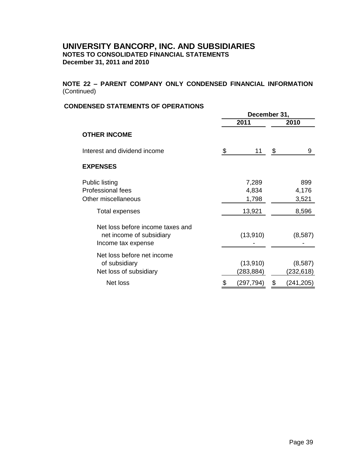**NOTE 22 – PARENT COMPANY ONLY CONDENSED FINANCIAL INFORMATION**  (Continued)

### **CONDENSED STATEMENTS OF OPERATIONS**

|                                                                                    |    | December 31,            |      |                       |  |
|------------------------------------------------------------------------------------|----|-------------------------|------|-----------------------|--|
|                                                                                    |    | 2011                    | 2010 |                       |  |
| <b>OTHER INCOME</b>                                                                |    |                         |      |                       |  |
| Interest and dividend income                                                       | \$ | 11                      | \$   | 9                     |  |
| <b>EXPENSES</b>                                                                    |    |                         |      |                       |  |
| <b>Public listing</b><br><b>Professional fees</b><br>Other miscellaneous           |    | 7,289<br>4,834<br>1,798 |      | 899<br>4,176<br>3,521 |  |
| Total expenses                                                                     |    | 13,921                  |      | 8,596                 |  |
| Net loss before income taxes and<br>net income of subsidiary<br>Income tax expense |    | (13,910)                |      | (8,587)               |  |
| Net loss before net income<br>of subsidiary<br>Net loss of subsidiary              |    | (13,910)<br>(283,884)   |      | (8,587)<br>(232,618)  |  |
| Net loss                                                                           |    | (297,794)               |      | (241,205)             |  |